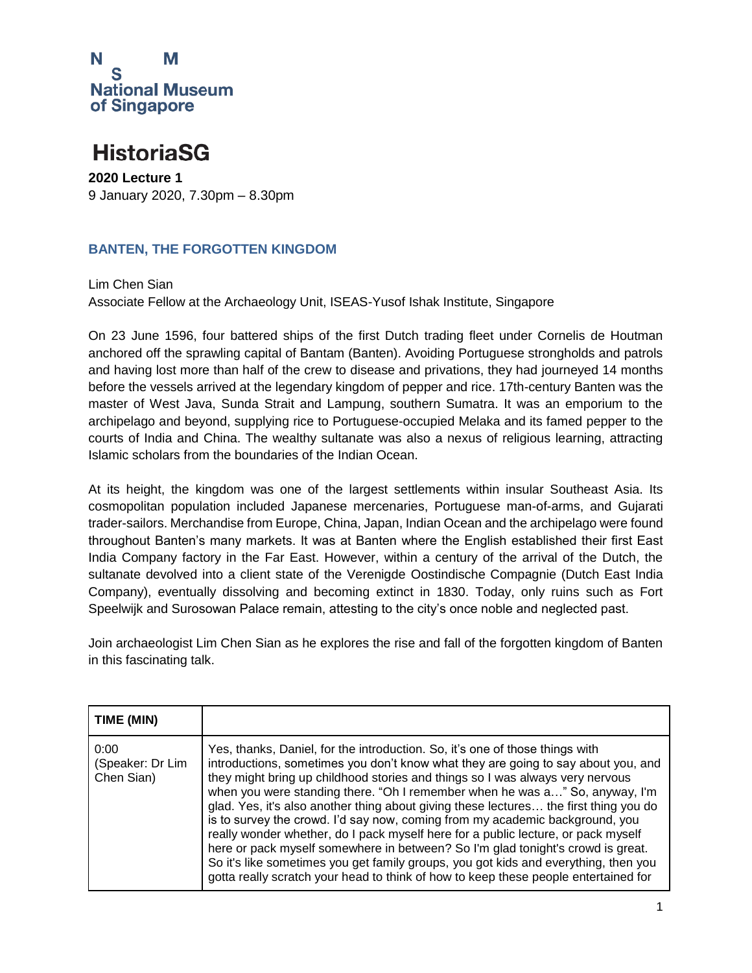

#### **HistoriaSG**

**2020 Lecture 1** 9 January 2020, 7.30pm – 8.30pm

#### **BANTEN, THE FORGOTTEN KINGDOM**

Lim Chen Sian Associate Fellow at the Archaeology Unit, ISEAS-Yusof Ishak Institute, Singapore

On 23 June 1596, four battered ships of the first Dutch trading fleet under Cornelis de Houtman anchored off the sprawling capital of Bantam (Banten). Avoiding Portuguese strongholds and patrols and having lost more than half of the crew to disease and privations, they had journeyed 14 months before the vessels arrived at the legendary kingdom of pepper and rice. 17th-century Banten was the master of West Java, Sunda Strait and Lampung, southern Sumatra. It was an emporium to the archipelago and beyond, supplying rice to Portuguese-occupied Melaka and its famed pepper to the courts of India and China. The wealthy sultanate was also a nexus of religious learning, attracting Islamic scholars from the boundaries of the Indian Ocean.

At its height, the kingdom was one of the largest settlements within insular Southeast Asia. Its cosmopolitan population included Japanese mercenaries, Portuguese man-of-arms, and Gujarati trader-sailors. Merchandise from Europe, China, Japan, Indian Ocean and the archipelago were found throughout Banten's many markets. It was at Banten where the English established their first East India Company factory in the Far East. However, within a century of the arrival of the Dutch, the sultanate devolved into a client state of the Verenigde Oostindische Compagnie (Dutch East India Company), eventually dissolving and becoming extinct in 1830. Today, only ruins such as Fort Speelwijk and Surosowan Palace remain, attesting to the city's once noble and neglected past.

Join archaeologist Lim Chen Sian as he explores the rise and fall of the forgotten kingdom of Banten in this fascinating talk.

| TIME (MIN)                             |                                                                                                                                                                                                                                                                                                                                                                                                                                                                                                                                                                                                                                                                                                                                                                                                                                                                  |
|----------------------------------------|------------------------------------------------------------------------------------------------------------------------------------------------------------------------------------------------------------------------------------------------------------------------------------------------------------------------------------------------------------------------------------------------------------------------------------------------------------------------------------------------------------------------------------------------------------------------------------------------------------------------------------------------------------------------------------------------------------------------------------------------------------------------------------------------------------------------------------------------------------------|
| 0:00<br>(Speaker: Dr Lim<br>Chen Sian) | Yes, thanks, Daniel, for the introduction. So, it's one of those things with<br>introductions, sometimes you don't know what they are going to say about you, and<br>they might bring up childhood stories and things so I was always very nervous<br>when you were standing there. "Oh I remember when he was a" So, anyway, I'm<br>glad. Yes, it's also another thing about giving these lectures the first thing you do<br>is to survey the crowd. I'd say now, coming from my academic background, you<br>really wonder whether, do I pack myself here for a public lecture, or pack myself<br>here or pack myself somewhere in between? So I'm glad tonight's crowd is great.<br>So it's like sometimes you get family groups, you got kids and everything, then you<br>gotta really scratch your head to think of how to keep these people entertained for |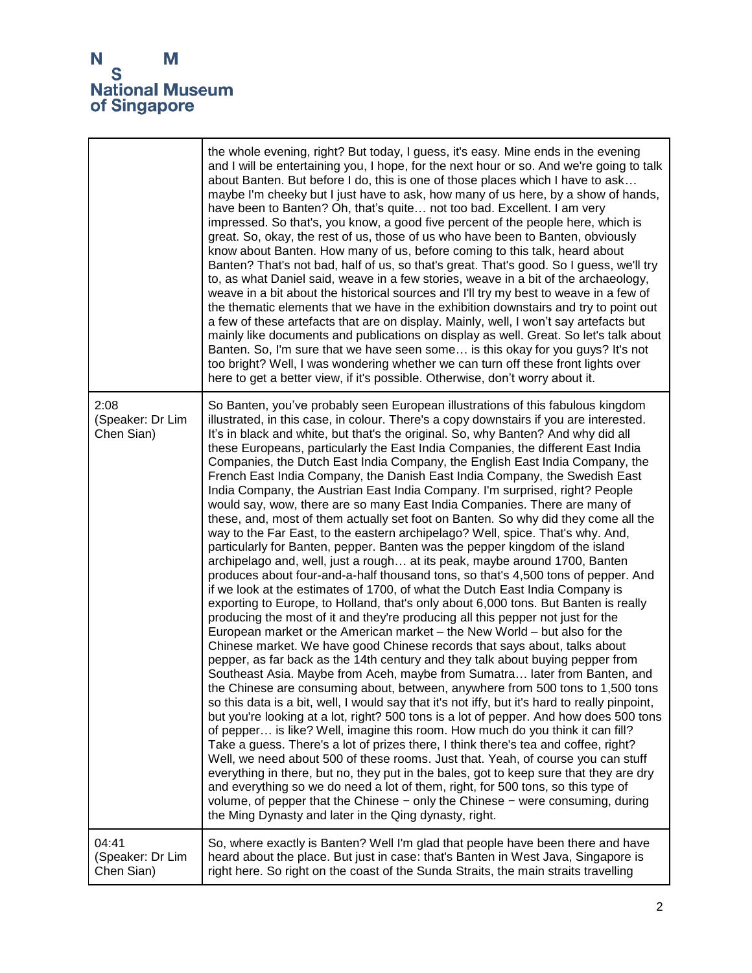|                                         | the whole evening, right? But today, I guess, it's easy. Mine ends in the evening<br>and I will be entertaining you, I hope, for the next hour or so. And we're going to talk<br>about Banten. But before I do, this is one of those places which I have to ask<br>maybe I'm cheeky but I just have to ask, how many of us here, by a show of hands,<br>have been to Banten? Oh, that's quite not too bad. Excellent. I am very<br>impressed. So that's, you know, a good five percent of the people here, which is<br>great. So, okay, the rest of us, those of us who have been to Banten, obviously<br>know about Banten. How many of us, before coming to this talk, heard about<br>Banten? That's not bad, half of us, so that's great. That's good. So I guess, we'll try<br>to, as what Daniel said, weave in a few stories, weave in a bit of the archaeology,<br>weave in a bit about the historical sources and I'll try my best to weave in a few of<br>the thematic elements that we have in the exhibition downstairs and try to point out<br>a few of these artefacts that are on display. Mainly, well, I won't say artefacts but<br>mainly like documents and publications on display as well. Great. So let's talk about<br>Banten. So, I'm sure that we have seen some is this okay for you guys? It's not<br>too bright? Well, I was wondering whether we can turn off these front lights over<br>here to get a better view, if it's possible. Otherwise, don't worry about it.                                                                                                                                                                                                                                                                                                                                                                                                                                                                                                                                                                                                                                                                                                                                                                                                                                                                                                                                                                                                                                                                    |
|-----------------------------------------|-----------------------------------------------------------------------------------------------------------------------------------------------------------------------------------------------------------------------------------------------------------------------------------------------------------------------------------------------------------------------------------------------------------------------------------------------------------------------------------------------------------------------------------------------------------------------------------------------------------------------------------------------------------------------------------------------------------------------------------------------------------------------------------------------------------------------------------------------------------------------------------------------------------------------------------------------------------------------------------------------------------------------------------------------------------------------------------------------------------------------------------------------------------------------------------------------------------------------------------------------------------------------------------------------------------------------------------------------------------------------------------------------------------------------------------------------------------------------------------------------------------------------------------------------------------------------------------------------------------------------------------------------------------------------------------------------------------------------------------------------------------------------------------------------------------------------------------------------------------------------------------------------------------------------------------------------------------------------------------------------------------------------------------------------------------------------------------------------------------------------------------------------------------------------------------------------------------------------------------------------------------------------------------------------------------------------------------------------------------------------------------------------------------------------------------------------------------------------------------------------------------------------------------------------------------------------|
| 2:08<br>(Speaker: Dr Lim<br>Chen Sian)  | So Banten, you've probably seen European illustrations of this fabulous kingdom<br>illustrated, in this case, in colour. There's a copy downstairs if you are interested.<br>It's in black and white, but that's the original. So, why Banten? And why did all<br>these Europeans, particularly the East India Companies, the different East India<br>Companies, the Dutch East India Company, the English East India Company, the<br>French East India Company, the Danish East India Company, the Swedish East<br>India Company, the Austrian East India Company. I'm surprised, right? People<br>would say, wow, there are so many East India Companies. There are many of<br>these, and, most of them actually set foot on Banten. So why did they come all the<br>way to the Far East, to the eastern archipelago? Well, spice. That's why. And,<br>particularly for Banten, pepper. Banten was the pepper kingdom of the island<br>archipelago and, well, just a rough at its peak, maybe around 1700, Banten<br>produces about four-and-a-half thousand tons, so that's 4,500 tons of pepper. And<br>if we look at the estimates of 1700, of what the Dutch East India Company is<br>exporting to Europe, to Holland, that's only about 6,000 tons. But Banten is really<br>producing the most of it and they're producing all this pepper not just for the<br>European market or the American market - the New World - but also for the<br>Chinese market. We have good Chinese records that says about, talks about<br>pepper, as far back as the 14th century and they talk about buying pepper from<br>Southeast Asia. Maybe from Aceh, maybe from Sumatra later from Banten, and<br>the Chinese are consuming about, between, anywhere from 500 tons to 1,500 tons<br>so this data is a bit, well, I would say that it's not iffy, but it's hard to really pinpoint,<br>but you're looking at a lot, right? 500 tons is a lot of pepper. And how does 500 tons<br>of pepper is like? Well, imagine this room. How much do you think it can fill?<br>Take a guess. There's a lot of prizes there, I think there's tea and coffee, right?<br>Well, we need about 500 of these rooms. Just that. Yeah, of course you can stuff<br>everything in there, but no, they put in the bales, got to keep sure that they are dry<br>and everything so we do need a lot of them, right, for 500 tons, so this type of<br>volume, of pepper that the Chinese $-$ only the Chinese $-$ were consuming, during<br>the Ming Dynasty and later in the Qing dynasty, right. |
| 04:41<br>(Speaker: Dr Lim<br>Chen Sian) | So, where exactly is Banten? Well I'm glad that people have been there and have<br>heard about the place. But just in case: that's Banten in West Java, Singapore is<br>right here. So right on the coast of the Sunda Straits, the main straits travelling                                                                                                                                                                                                                                                                                                                                                                                                                                                                                                                                                                                                                                                                                                                                                                                                                                                                                                                                                                                                                                                                                                                                                                                                                                                                                                                                                                                                                                                                                                                                                                                                                                                                                                                                                                                                                                                                                                                                                                                                                                                                                                                                                                                                                                                                                                           |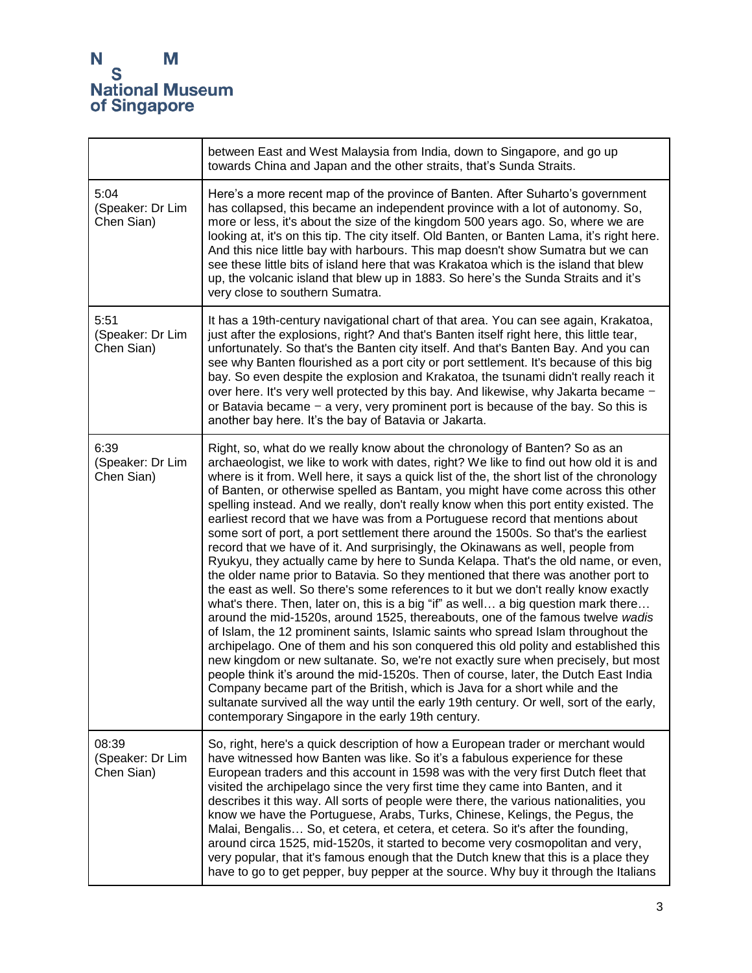|                                         | between East and West Malaysia from India, down to Singapore, and go up<br>towards China and Japan and the other straits, that's Sunda Straits.                                                                                                                                                                                                                                                                                                                                                                                                                                                                                                                                                                                                                                                                                                                                                                                                                                                                                                                                                                                                                                                                                                                                                                                                                                                                                                                                                                                                                                                                                                                                                                                              |
|-----------------------------------------|----------------------------------------------------------------------------------------------------------------------------------------------------------------------------------------------------------------------------------------------------------------------------------------------------------------------------------------------------------------------------------------------------------------------------------------------------------------------------------------------------------------------------------------------------------------------------------------------------------------------------------------------------------------------------------------------------------------------------------------------------------------------------------------------------------------------------------------------------------------------------------------------------------------------------------------------------------------------------------------------------------------------------------------------------------------------------------------------------------------------------------------------------------------------------------------------------------------------------------------------------------------------------------------------------------------------------------------------------------------------------------------------------------------------------------------------------------------------------------------------------------------------------------------------------------------------------------------------------------------------------------------------------------------------------------------------------------------------------------------------|
| 5:04<br>(Speaker: Dr Lim<br>Chen Sian)  | Here's a more recent map of the province of Banten. After Suharto's government<br>has collapsed, this became an independent province with a lot of autonomy. So,<br>more or less, it's about the size of the kingdom 500 years ago. So, where we are<br>looking at, it's on this tip. The city itself. Old Banten, or Banten Lama, it's right here.<br>And this nice little bay with harbours. This map doesn't show Sumatra but we can<br>see these little bits of island here that was Krakatoa which is the island that blew<br>up, the volcanic island that blew up in 1883. So here's the Sunda Straits and it's<br>very close to southern Sumatra.                                                                                                                                                                                                                                                                                                                                                                                                                                                                                                                                                                                                                                                                                                                                                                                                                                                                                                                                                                                                                                                                                     |
| 5:51<br>(Speaker: Dr Lim<br>Chen Sian)  | It has a 19th-century navigational chart of that area. You can see again, Krakatoa,<br>just after the explosions, right? And that's Banten itself right here, this little tear,<br>unfortunately. So that's the Banten city itself. And that's Banten Bay. And you can<br>see why Banten flourished as a port city or port settlement. It's because of this big<br>bay. So even despite the explosion and Krakatoa, the tsunami didn't really reach it<br>over here. It's very well protected by this bay. And likewise, why Jakarta became -<br>or Batavia became $-$ a very, very prominent port is because of the bay. So this is<br>another bay here. It's the bay of Batavia or Jakarta.                                                                                                                                                                                                                                                                                                                                                                                                                                                                                                                                                                                                                                                                                                                                                                                                                                                                                                                                                                                                                                                |
| 6:39<br>(Speaker: Dr Lim<br>Chen Sian)  | Right, so, what do we really know about the chronology of Banten? So as an<br>archaeologist, we like to work with dates, right? We like to find out how old it is and<br>where is it from. Well here, it says a quick list of the, the short list of the chronology<br>of Banten, or otherwise spelled as Bantam, you might have come across this other<br>spelling instead. And we really, don't really know when this port entity existed. The<br>earliest record that we have was from a Portuguese record that mentions about<br>some sort of port, a port settlement there around the 1500s. So that's the earliest<br>record that we have of it. And surprisingly, the Okinawans as well, people from<br>Ryukyu, they actually came by here to Sunda Kelapa. That's the old name, or even,<br>the older name prior to Batavia. So they mentioned that there was another port to<br>the east as well. So there's some references to it but we don't really know exactly<br>what's there. Then, later on, this is a big "if" as well a big question mark there<br>around the mid-1520s, around 1525, thereabouts, one of the famous twelve wadis<br>of Islam, the 12 prominent saints, Islamic saints who spread Islam throughout the<br>archipelago. One of them and his son conquered this old polity and established this<br>new kingdom or new sultanate. So, we're not exactly sure when precisely, but most<br>people think it's around the mid-1520s. Then of course, later, the Dutch East India<br>Company became part of the British, which is Java for a short while and the<br>sultanate survived all the way until the early 19th century. Or well, sort of the early,<br>contemporary Singapore in the early 19th century. |
| 08:39<br>(Speaker: Dr Lim<br>Chen Sian) | So, right, here's a quick description of how a European trader or merchant would<br>have witnessed how Banten was like. So it's a fabulous experience for these<br>European traders and this account in 1598 was with the very first Dutch fleet that<br>visited the archipelago since the very first time they came into Banten, and it<br>describes it this way. All sorts of people were there, the various nationalities, you<br>know we have the Portuguese, Arabs, Turks, Chinese, Kelings, the Pegus, the<br>Malai, Bengalis So, et cetera, et cetera, et cetera. So it's after the founding,<br>around circa 1525, mid-1520s, it started to become very cosmopolitan and very,<br>very popular, that it's famous enough that the Dutch knew that this is a place they<br>have to go to get pepper, buy pepper at the source. Why buy it through the Italians                                                                                                                                                                                                                                                                                                                                                                                                                                                                                                                                                                                                                                                                                                                                                                                                                                                                         |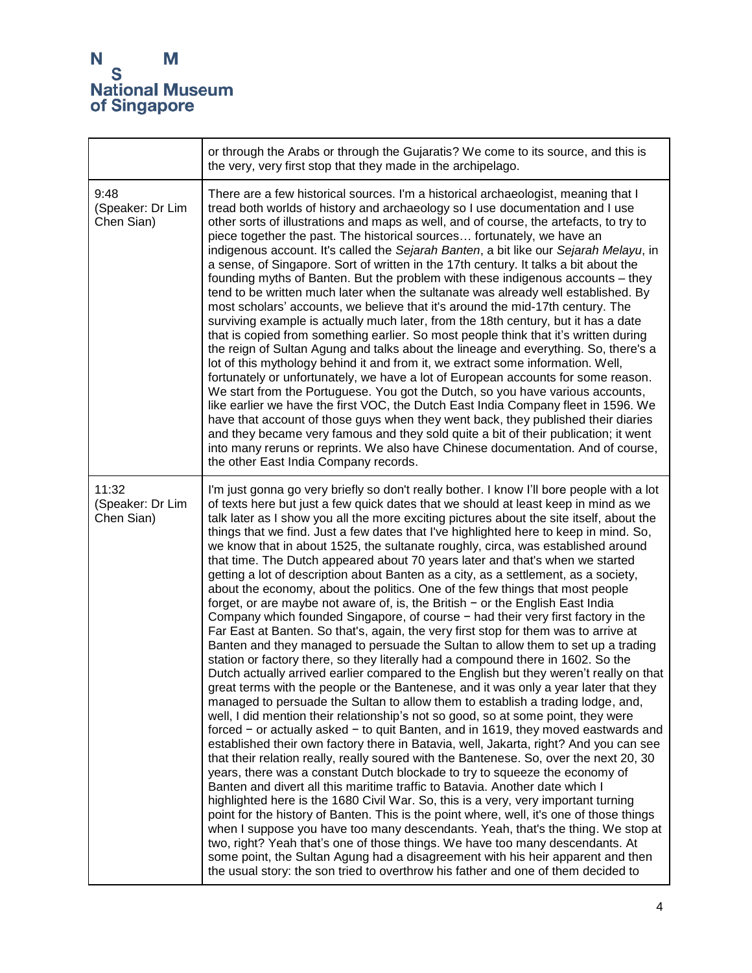|                                         | or through the Arabs or through the Gujaratis? We come to its source, and this is<br>the very, very first stop that they made in the archipelago.                                                                                                                                                                                                                                                                                                                                                                                                                                                                                                                                                                                                                                                                                                                                                                                                                                                                                                                                                                                                                                                                                                                                                                                                                                                                                                                                                                                                                                                                                                                                                                                                                                                                                                                                                                                                                                                                                                                                                                                                                                                                                                                                                                                                                                                                                                                                          |
|-----------------------------------------|--------------------------------------------------------------------------------------------------------------------------------------------------------------------------------------------------------------------------------------------------------------------------------------------------------------------------------------------------------------------------------------------------------------------------------------------------------------------------------------------------------------------------------------------------------------------------------------------------------------------------------------------------------------------------------------------------------------------------------------------------------------------------------------------------------------------------------------------------------------------------------------------------------------------------------------------------------------------------------------------------------------------------------------------------------------------------------------------------------------------------------------------------------------------------------------------------------------------------------------------------------------------------------------------------------------------------------------------------------------------------------------------------------------------------------------------------------------------------------------------------------------------------------------------------------------------------------------------------------------------------------------------------------------------------------------------------------------------------------------------------------------------------------------------------------------------------------------------------------------------------------------------------------------------------------------------------------------------------------------------------------------------------------------------------------------------------------------------------------------------------------------------------------------------------------------------------------------------------------------------------------------------------------------------------------------------------------------------------------------------------------------------------------------------------------------------------------------------------------------------|
| 9:48<br>(Speaker: Dr Lim<br>Chen Sian)  | There are a few historical sources. I'm a historical archaeologist, meaning that I<br>tread both worlds of history and archaeology so I use documentation and I use<br>other sorts of illustrations and maps as well, and of course, the artefacts, to try to<br>piece together the past. The historical sources fortunately, we have an<br>indigenous account. It's called the Sejarah Banten, a bit like our Sejarah Melayu, in<br>a sense, of Singapore. Sort of written in the 17th century. It talks a bit about the<br>founding myths of Banten. But the problem with these indigenous accounts - they<br>tend to be written much later when the sultanate was already well established. By<br>most scholars' accounts, we believe that it's around the mid-17th century. The<br>surviving example is actually much later, from the 18th century, but it has a date<br>that is copied from something earlier. So most people think that it's written during<br>the reign of Sultan Agung and talks about the lineage and everything. So, there's a<br>lot of this mythology behind it and from it, we extract some information. Well,<br>fortunately or unfortunately, we have a lot of European accounts for some reason.<br>We start from the Portuguese. You got the Dutch, so you have various accounts,<br>like earlier we have the first VOC, the Dutch East India Company fleet in 1596. We<br>have that account of those guys when they went back, they published their diaries<br>and they became very famous and they sold quite a bit of their publication; it went<br>into many reruns or reprints. We also have Chinese documentation. And of course,<br>the other East India Company records.                                                                                                                                                                                                                                                                                                                                                                                                                                                                                                                                                                                                                                                                                                                                                                          |
| 11:32<br>(Speaker: Dr Lim<br>Chen Sian) | I'm just gonna go very briefly so don't really bother. I know I'll bore people with a lot<br>of texts here but just a few quick dates that we should at least keep in mind as we<br>talk later as I show you all the more exciting pictures about the site itself, about the<br>things that we find. Just a few dates that I've highlighted here to keep in mind. So,<br>we know that in about 1525, the sultanate roughly, circa, was established around<br>that time. The Dutch appeared about 70 years later and that's when we started<br>getting a lot of description about Banten as a city, as a settlement, as a society,<br>about the economy, about the politics. One of the few things that most people<br>forget, or are maybe not aware of, is, the British $-$ or the English East India<br>Company which founded Singapore, of course - had their very first factory in the<br>Far East at Banten. So that's, again, the very first stop for them was to arrive at<br>Banten and they managed to persuade the Sultan to allow them to set up a trading<br>station or factory there, so they literally had a compound there in 1602. So the<br>Dutch actually arrived earlier compared to the English but they weren't really on that<br>great terms with the people or the Bantenese, and it was only a year later that they<br>managed to persuade the Sultan to allow them to establish a trading lodge, and,<br>well, I did mention their relationship's not so good, so at some point, they were<br>forced - or actually asked - to quit Banten, and in 1619, they moved eastwards and<br>established their own factory there in Batavia, well, Jakarta, right? And you can see<br>that their relation really, really soured with the Bantenese. So, over the next 20, 30<br>years, there was a constant Dutch blockade to try to squeeze the economy of<br>Banten and divert all this maritime traffic to Batavia. Another date which I<br>highlighted here is the 1680 Civil War. So, this is a very, very important turning<br>point for the history of Banten. This is the point where, well, it's one of those things<br>when I suppose you have too many descendants. Yeah, that's the thing. We stop at<br>two, right? Yeah that's one of those things. We have too many descendants. At<br>some point, the Sultan Agung had a disagreement with his heir apparent and then<br>the usual story: the son tried to overthrow his father and one of them decided to |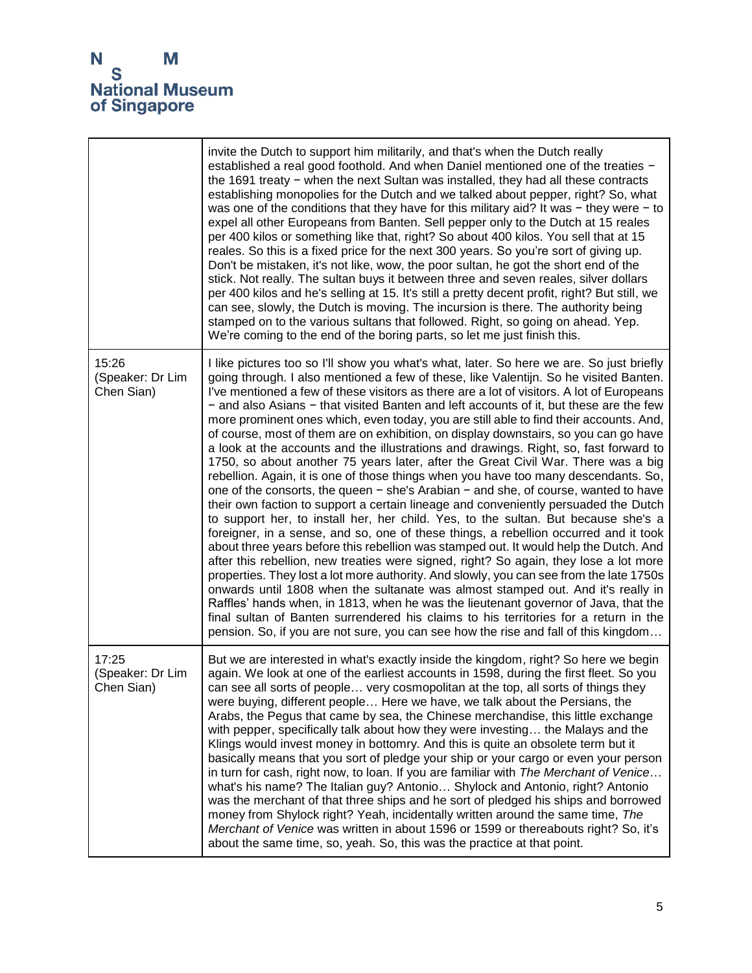|                                         | invite the Dutch to support him militarily, and that's when the Dutch really<br>established a real good foothold. And when Daniel mentioned one of the treaties -<br>the 1691 treaty $-$ when the next Sultan was installed, they had all these contracts<br>establishing monopolies for the Dutch and we talked about pepper, right? So, what<br>was one of the conditions that they have for this military aid? It was $-$ they were $-$ to<br>expel all other Europeans from Banten. Sell pepper only to the Dutch at 15 reales<br>per 400 kilos or something like that, right? So about 400 kilos. You sell that at 15<br>reales. So this is a fixed price for the next 300 years. So you're sort of giving up.<br>Don't be mistaken, it's not like, wow, the poor sultan, he got the short end of the<br>stick. Not really. The sultan buys it between three and seven reales, silver dollars<br>per 400 kilos and he's selling at 15. It's still a pretty decent profit, right? But still, we<br>can see, slowly, the Dutch is moving. The incursion is there. The authority being<br>stamped on to the various sultans that followed. Right, so going on ahead. Yep.<br>We're coming to the end of the boring parts, so let me just finish this.                                                                                                                                                                                                                                                                                                                                                                                                                                                                                                                                                                                |
|-----------------------------------------|----------------------------------------------------------------------------------------------------------------------------------------------------------------------------------------------------------------------------------------------------------------------------------------------------------------------------------------------------------------------------------------------------------------------------------------------------------------------------------------------------------------------------------------------------------------------------------------------------------------------------------------------------------------------------------------------------------------------------------------------------------------------------------------------------------------------------------------------------------------------------------------------------------------------------------------------------------------------------------------------------------------------------------------------------------------------------------------------------------------------------------------------------------------------------------------------------------------------------------------------------------------------------------------------------------------------------------------------------------------------------------------------------------------------------------------------------------------------------------------------------------------------------------------------------------------------------------------------------------------------------------------------------------------------------------------------------------------------------------------------------------------------------------------------------------------------------------------|
| 15:26<br>(Speaker: Dr Lim<br>Chen Sian) | I like pictures too so I'll show you what's what, later. So here we are. So just briefly<br>going through. I also mentioned a few of these, like Valentijn. So he visited Banten.<br>I've mentioned a few of these visitors as there are a lot of visitors. A lot of Europeans<br>- and also Asians - that visited Banten and left accounts of it, but these are the few<br>more prominent ones which, even today, you are still able to find their accounts. And,<br>of course, most of them are on exhibition, on display downstairs, so you can go have<br>a look at the accounts and the illustrations and drawings. Right, so, fast forward to<br>1750, so about another 75 years later, after the Great Civil War. There was a big<br>rebellion. Again, it is one of those things when you have too many descendants. So,<br>one of the consorts, the queen $-$ she's Arabian $-$ and she, of course, wanted to have<br>their own faction to support a certain lineage and conveniently persuaded the Dutch<br>to support her, to install her, her child. Yes, to the sultan. But because she's a<br>foreigner, in a sense, and so, one of these things, a rebellion occurred and it took<br>about three years before this rebellion was stamped out. It would help the Dutch. And<br>after this rebellion, new treaties were signed, right? So again, they lose a lot more<br>properties. They lost a lot more authority. And slowly, you can see from the late 1750s<br>onwards until 1808 when the sultanate was almost stamped out. And it's really in<br>Raffles' hands when, in 1813, when he was the lieutenant governor of Java, that the<br>final sultan of Banten surrendered his claims to his territories for a return in the<br>pension. So, if you are not sure, you can see how the rise and fall of this kingdom |
| 17:25<br>(Speaker: Dr Lim<br>Chen Sian) | But we are interested in what's exactly inside the kingdom, right? So here we begin<br>again. We look at one of the earliest accounts in 1598, during the first fleet. So you<br>can see all sorts of people very cosmopolitan at the top, all sorts of things they<br>were buying, different people Here we have, we talk about the Persians, the<br>Arabs, the Pegus that came by sea, the Chinese merchandise, this little exchange<br>with pepper, specifically talk about how they were investing the Malays and the<br>Klings would invest money in bottomry. And this is quite an obsolete term but it<br>basically means that you sort of pledge your ship or your cargo or even your person<br>in turn for cash, right now, to loan. If you are familiar with The Merchant of Venice<br>what's his name? The Italian guy? Antonio Shylock and Antonio, right? Antonio<br>was the merchant of that three ships and he sort of pledged his ships and borrowed<br>money from Shylock right? Yeah, incidentally written around the same time, The<br>Merchant of Venice was written in about 1596 or 1599 or thereabouts right? So, it's<br>about the same time, so, yeah. So, this was the practice at that point.                                                                                                                                                                                                                                                                                                                                                                                                                                                                                                                                                                                                               |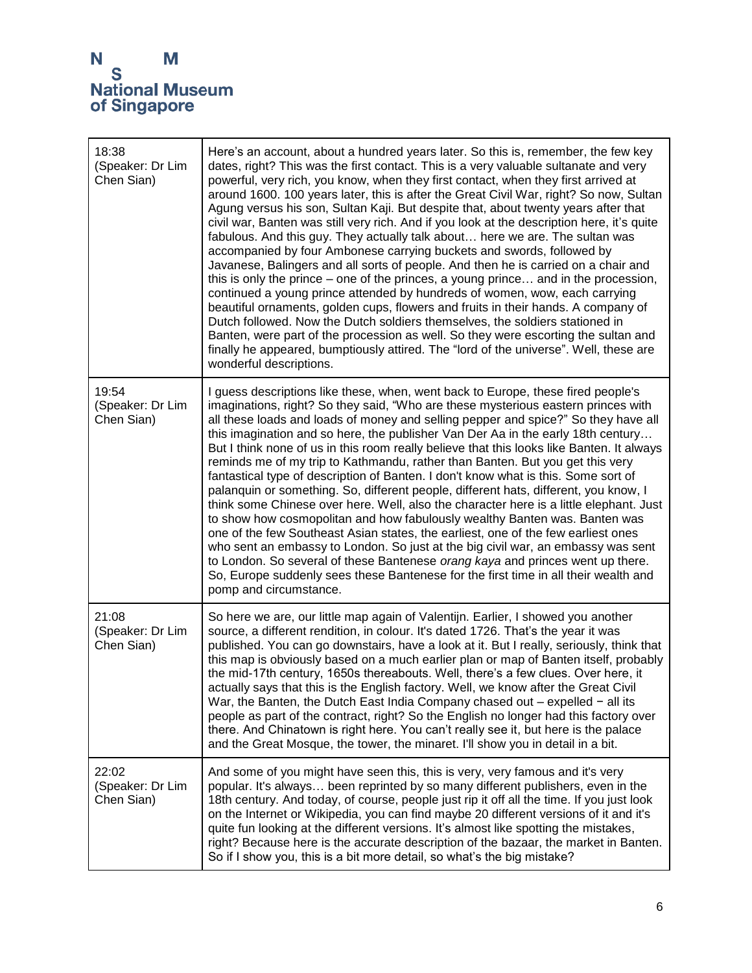| 18:38<br>(Speaker: Dr Lim<br>Chen Sian) | Here's an account, about a hundred years later. So this is, remember, the few key<br>dates, right? This was the first contact. This is a very valuable sultanate and very<br>powerful, very rich, you know, when they first contact, when they first arrived at<br>around 1600. 100 years later, this is after the Great Civil War, right? So now, Sultan<br>Agung versus his son, Sultan Kaji. But despite that, about twenty years after that<br>civil war, Banten was still very rich. And if you look at the description here, it's quite<br>fabulous. And this guy. They actually talk about here we are. The sultan was<br>accompanied by four Ambonese carrying buckets and swords, followed by<br>Javanese, Balingers and all sorts of people. And then he is carried on a chair and<br>this is only the prince – one of the princes, a young prince and in the procession,<br>continued a young prince attended by hundreds of women, wow, each carrying<br>beautiful ornaments, golden cups, flowers and fruits in their hands. A company of<br>Dutch followed. Now the Dutch soldiers themselves, the soldiers stationed in<br>Banten, were part of the procession as well. So they were escorting the sultan and<br>finally he appeared, bumptiously attired. The "lord of the universe". Well, these are<br>wonderful descriptions. |
|-----------------------------------------|--------------------------------------------------------------------------------------------------------------------------------------------------------------------------------------------------------------------------------------------------------------------------------------------------------------------------------------------------------------------------------------------------------------------------------------------------------------------------------------------------------------------------------------------------------------------------------------------------------------------------------------------------------------------------------------------------------------------------------------------------------------------------------------------------------------------------------------------------------------------------------------------------------------------------------------------------------------------------------------------------------------------------------------------------------------------------------------------------------------------------------------------------------------------------------------------------------------------------------------------------------------------------------------------------------------------------------------------------|
| 19:54<br>(Speaker: Dr Lim<br>Chen Sian) | I guess descriptions like these, when, went back to Europe, these fired people's<br>imaginations, right? So they said, "Who are these mysterious eastern princes with<br>all these loads and loads of money and selling pepper and spice?" So they have all<br>this imagination and so here, the publisher Van Der Aa in the early 18th century<br>But I think none of us in this room really believe that this looks like Banten. It always<br>reminds me of my trip to Kathmandu, rather than Banten. But you get this very<br>fantastical type of description of Banten. I don't know what is this. Some sort of<br>palanquin or something. So, different people, different hats, different, you know, I<br>think some Chinese over here. Well, also the character here is a little elephant. Just<br>to show how cosmopolitan and how fabulously wealthy Banten was. Banten was<br>one of the few Southeast Asian states, the earliest, one of the few earliest ones<br>who sent an embassy to London. So just at the big civil war, an embassy was sent<br>to London. So several of these Bantenese orang kaya and princes went up there.<br>So, Europe suddenly sees these Bantenese for the first time in all their wealth and<br>pomp and circumstance.                                                                                  |
| 21:08<br>(Speaker: Dr Lim<br>Chen Sian) | So here we are, our little map again of Valentijn. Earlier, I showed you another<br>source, a different rendition, in colour. It's dated 1726. That's the year it was<br>published. You can go downstairs, have a look at it. But I really, seriously, think that<br>this map is obviously based on a much earlier plan or map of Banten itself, probably<br>the mid-17th century, 1650s thereabouts. Well, there's a few clues. Over here, it<br>actually says that this is the English factory. Well, we know after the Great Civil<br>War, the Banten, the Dutch East India Company chased out - expelled - all its<br>people as part of the contract, right? So the English no longer had this factory over<br>there. And Chinatown is right here. You can't really see it, but here is the palace<br>and the Great Mosque, the tower, the minaret. I'll show you in detail in a bit.                                                                                                                                                                                                                                                                                                                                                                                                                                                        |
| 22:02<br>(Speaker: Dr Lim<br>Chen Sian) | And some of you might have seen this, this is very, very famous and it's very<br>popular. It's always been reprinted by so many different publishers, even in the<br>18th century. And today, of course, people just rip it off all the time. If you just look<br>on the Internet or Wikipedia, you can find maybe 20 different versions of it and it's<br>quite fun looking at the different versions. It's almost like spotting the mistakes,<br>right? Because here is the accurate description of the bazaar, the market in Banten.<br>So if I show you, this is a bit more detail, so what's the big mistake?                                                                                                                                                                                                                                                                                                                                                                                                                                                                                                                                                                                                                                                                                                                               |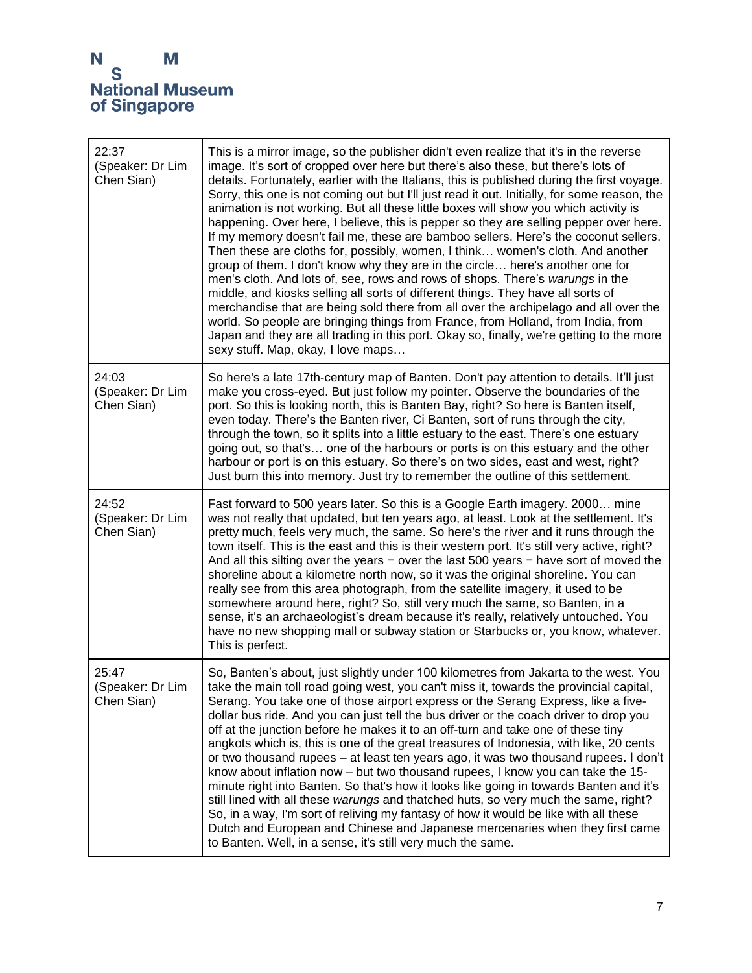| 22:37<br>(Speaker: Dr Lim<br>Chen Sian) | This is a mirror image, so the publisher didn't even realize that it's in the reverse<br>image. It's sort of cropped over here but there's also these, but there's lots of<br>details. Fortunately, earlier with the Italians, this is published during the first voyage.<br>Sorry, this one is not coming out but I'll just read it out. Initially, for some reason, the<br>animation is not working. But all these little boxes will show you which activity is<br>happening. Over here, I believe, this is pepper so they are selling pepper over here.<br>If my memory doesn't fail me, these are bamboo sellers. Here's the coconut sellers.<br>Then these are cloths for, possibly, women, I think women's cloth. And another<br>group of them. I don't know why they are in the circle here's another one for<br>men's cloth. And lots of, see, rows and rows of shops. There's warungs in the<br>middle, and kiosks selling all sorts of different things. They have all sorts of<br>merchandise that are being sold there from all over the archipelago and all over the<br>world. So people are bringing things from France, from Holland, from India, from<br>Japan and they are all trading in this port. Okay so, finally, we're getting to the more<br>sexy stuff. Map, okay, I love maps |
|-----------------------------------------|---------------------------------------------------------------------------------------------------------------------------------------------------------------------------------------------------------------------------------------------------------------------------------------------------------------------------------------------------------------------------------------------------------------------------------------------------------------------------------------------------------------------------------------------------------------------------------------------------------------------------------------------------------------------------------------------------------------------------------------------------------------------------------------------------------------------------------------------------------------------------------------------------------------------------------------------------------------------------------------------------------------------------------------------------------------------------------------------------------------------------------------------------------------------------------------------------------------------------------------------------------------------------------------------------------|
| 24:03<br>(Speaker: Dr Lim<br>Chen Sian) | So here's a late 17th-century map of Banten. Don't pay attention to details. It'll just<br>make you cross-eyed. But just follow my pointer. Observe the boundaries of the<br>port. So this is looking north, this is Banten Bay, right? So here is Banten itself,<br>even today. There's the Banten river, Ci Banten, sort of runs through the city,<br>through the town, so it splits into a little estuary to the east. There's one estuary<br>going out, so that's one of the harbours or ports is on this estuary and the other<br>harbour or port is on this estuary. So there's on two sides, east and west, right?<br>Just burn this into memory. Just try to remember the outline of this settlement.                                                                                                                                                                                                                                                                                                                                                                                                                                                                                                                                                                                           |
| 24:52<br>(Speaker: Dr Lim<br>Chen Sian) | Fast forward to 500 years later. So this is a Google Earth imagery. 2000 mine<br>was not really that updated, but ten years ago, at least. Look at the settlement. It's<br>pretty much, feels very much, the same. So here's the river and it runs through the<br>town itself. This is the east and this is their western port. It's still very active, right?<br>And all this silting over the years $-$ over the last 500 years $-$ have sort of moved the<br>shoreline about a kilometre north now, so it was the original shoreline. You can<br>really see from this area photograph, from the satellite imagery, it used to be<br>somewhere around here, right? So, still very much the same, so Banten, in a<br>sense, it's an archaeologist's dream because it's really, relatively untouched. You<br>have no new shopping mall or subway station or Starbucks or, you know, whatever.<br>This is perfect.                                                                                                                                                                                                                                                                                                                                                                                       |
| 25:47<br>(Speaker: Dr Lim<br>Chen Sian) | So, Banten's about, just slightly under 100 kilometres from Jakarta to the west. You<br>take the main toll road going west, you can't miss it, towards the provincial capital,<br>Serang. You take one of those airport express or the Serang Express, like a five-<br>dollar bus ride. And you can just tell the bus driver or the coach driver to drop you<br>off at the junction before he makes it to an off-turn and take one of these tiny<br>angkots which is, this is one of the great treasures of Indonesia, with like, 20 cents<br>or two thousand rupees - at least ten years ago, it was two thousand rupees. I don't<br>know about inflation now – but two thousand rupees, I know you can take the 15-<br>minute right into Banten. So that's how it looks like going in towards Banten and it's<br>still lined with all these warungs and thatched huts, so very much the same, right?<br>So, in a way, I'm sort of reliving my fantasy of how it would be like with all these<br>Dutch and European and Chinese and Japanese mercenaries when they first came<br>to Banten. Well, in a sense, it's still very much the same.                                                                                                                                                           |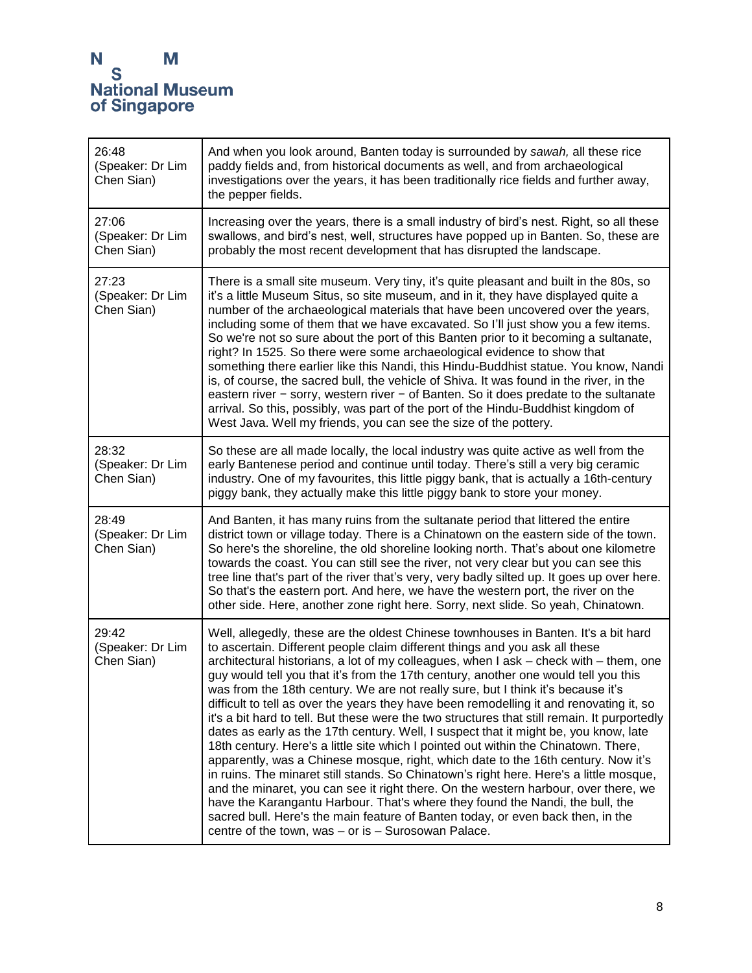| 26:48<br>(Speaker: Dr Lim<br>Chen Sian) | And when you look around, Banten today is surrounded by sawah, all these rice<br>paddy fields and, from historical documents as well, and from archaeological<br>investigations over the years, it has been traditionally rice fields and further away,<br>the pepper fields.                                                                                                                                                                                                                                                                                                                                                                                                                                                                                                                                                                                                                                                                                                                                                                                                                                                                                                                                                                                                                                     |
|-----------------------------------------|-------------------------------------------------------------------------------------------------------------------------------------------------------------------------------------------------------------------------------------------------------------------------------------------------------------------------------------------------------------------------------------------------------------------------------------------------------------------------------------------------------------------------------------------------------------------------------------------------------------------------------------------------------------------------------------------------------------------------------------------------------------------------------------------------------------------------------------------------------------------------------------------------------------------------------------------------------------------------------------------------------------------------------------------------------------------------------------------------------------------------------------------------------------------------------------------------------------------------------------------------------------------------------------------------------------------|
| 27:06<br>(Speaker: Dr Lim<br>Chen Sian) | Increasing over the years, there is a small industry of bird's nest. Right, so all these<br>swallows, and bird's nest, well, structures have popped up in Banten. So, these are<br>probably the most recent development that has disrupted the landscape.                                                                                                                                                                                                                                                                                                                                                                                                                                                                                                                                                                                                                                                                                                                                                                                                                                                                                                                                                                                                                                                         |
| 27:23<br>(Speaker: Dr Lim<br>Chen Sian) | There is a small site museum. Very tiny, it's quite pleasant and built in the 80s, so<br>it's a little Museum Situs, so site museum, and in it, they have displayed quite a<br>number of the archaeological materials that have been uncovered over the years,<br>including some of them that we have excavated. So I'll just show you a few items.<br>So we're not so sure about the port of this Banten prior to it becoming a sultanate,<br>right? In 1525. So there were some archaeological evidence to show that<br>something there earlier like this Nandi, this Hindu-Buddhist statue. You know, Nandi<br>is, of course, the sacred bull, the vehicle of Shiva. It was found in the river, in the<br>eastern river $-$ sorry, western river $-$ of Banten. So it does predate to the sultanate<br>arrival. So this, possibly, was part of the port of the Hindu-Buddhist kingdom of<br>West Java. Well my friends, you can see the size of the pottery.                                                                                                                                                                                                                                                                                                                                                   |
| 28:32<br>(Speaker: Dr Lim<br>Chen Sian) | So these are all made locally, the local industry was quite active as well from the<br>early Bantenese period and continue until today. There's still a very big ceramic<br>industry. One of my favourites, this little piggy bank, that is actually a 16th-century<br>piggy bank, they actually make this little piggy bank to store your money.                                                                                                                                                                                                                                                                                                                                                                                                                                                                                                                                                                                                                                                                                                                                                                                                                                                                                                                                                                 |
| 28:49<br>(Speaker: Dr Lim<br>Chen Sian) | And Banten, it has many ruins from the sultanate period that littered the entire<br>district town or village today. There is a Chinatown on the eastern side of the town.<br>So here's the shoreline, the old shoreline looking north. That's about one kilometre<br>towards the coast. You can still see the river, not very clear but you can see this<br>tree line that's part of the river that's very, very badly silted up. It goes up over here.<br>So that's the eastern port. And here, we have the western port, the river on the<br>other side. Here, another zone right here. Sorry, next slide. So yeah, Chinatown.                                                                                                                                                                                                                                                                                                                                                                                                                                                                                                                                                                                                                                                                                  |
| 29:42<br>(Speaker: Dr Lim<br>Chen Sian) | Well, allegedly, these are the oldest Chinese townhouses in Banten. It's a bit hard<br>to ascertain. Different people claim different things and you ask all these<br>architectural historians, a lot of my colleagues, when I ask - check with - them, one<br>guy would tell you that it's from the 17th century, another one would tell you this<br>was from the 18th century. We are not really sure, but I think it's because it's<br>difficult to tell as over the years they have been remodelling it and renovating it, so<br>it's a bit hard to tell. But these were the two structures that still remain. It purportedly<br>dates as early as the 17th century. Well, I suspect that it might be, you know, late<br>18th century. Here's a little site which I pointed out within the Chinatown. There,<br>apparently, was a Chinese mosque, right, which date to the 16th century. Now it's<br>in ruins. The minaret still stands. So Chinatown's right here. Here's a little mosque,<br>and the minaret, you can see it right there. On the western harbour, over there, we<br>have the Karangantu Harbour. That's where they found the Nandi, the bull, the<br>sacred bull. Here's the main feature of Banten today, or even back then, in the<br>centre of the town, was - or is - Surosowan Palace. |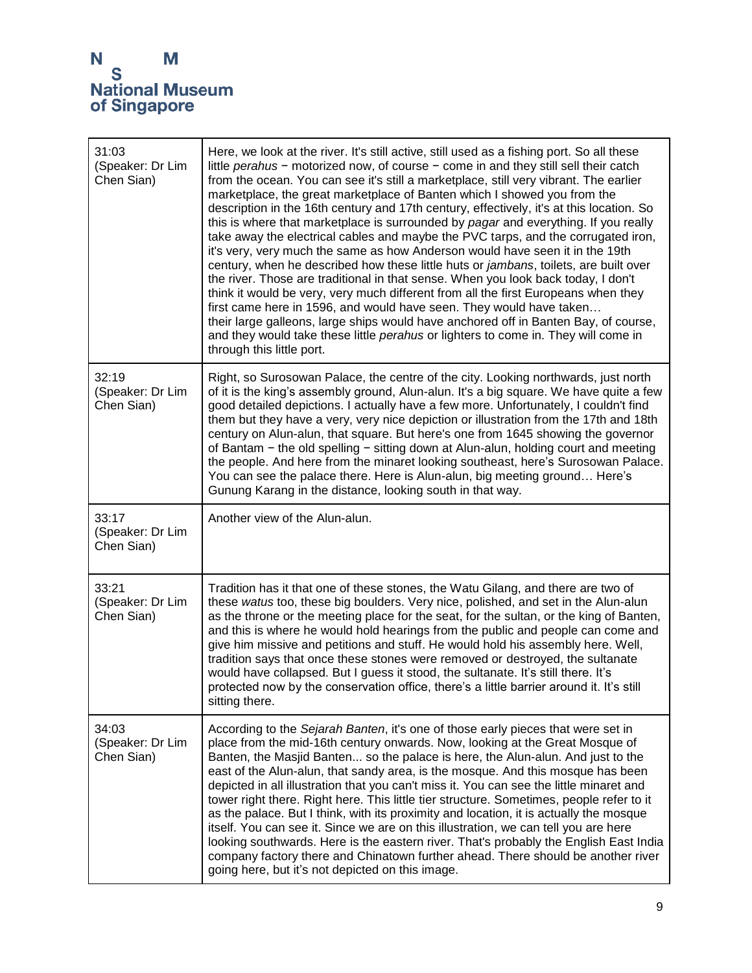| 31:03<br>(Speaker: Dr Lim<br>Chen Sian) | Here, we look at the river. It's still active, still used as a fishing port. So all these<br>little perahus - motorized now, of course - come in and they still sell their catch<br>from the ocean. You can see it's still a marketplace, still very vibrant. The earlier<br>marketplace, the great marketplace of Banten which I showed you from the<br>description in the 16th century and 17th century, effectively, it's at this location. So<br>this is where that marketplace is surrounded by pagar and everything. If you really<br>take away the electrical cables and maybe the PVC tarps, and the corrugated iron,<br>it's very, very much the same as how Anderson would have seen it in the 19th<br>century, when he described how these little huts or jambans, toilets, are built over<br>the river. Those are traditional in that sense. When you look back today, I don't<br>think it would be very, very much different from all the first Europeans when they<br>first came here in 1596, and would have seen. They would have taken<br>their large galleons, large ships would have anchored off in Banten Bay, of course,<br>and they would take these little <i>perahus</i> or lighters to come in. They will come in<br>through this little port. |
|-----------------------------------------|--------------------------------------------------------------------------------------------------------------------------------------------------------------------------------------------------------------------------------------------------------------------------------------------------------------------------------------------------------------------------------------------------------------------------------------------------------------------------------------------------------------------------------------------------------------------------------------------------------------------------------------------------------------------------------------------------------------------------------------------------------------------------------------------------------------------------------------------------------------------------------------------------------------------------------------------------------------------------------------------------------------------------------------------------------------------------------------------------------------------------------------------------------------------------------------------------------------------------------------------------------------------------|
| 32:19<br>(Speaker: Dr Lim<br>Chen Sian) | Right, so Surosowan Palace, the centre of the city. Looking northwards, just north<br>of it is the king's assembly ground, Alun-alun. It's a big square. We have quite a few<br>good detailed depictions. I actually have a few more. Unfortunately, I couldn't find<br>them but they have a very, very nice depiction or illustration from the 17th and 18th<br>century on Alun-alun, that square. But here's one from 1645 showing the governor<br>of Bantam - the old spelling - sitting down at Alun-alun, holding court and meeting<br>the people. And here from the minaret looking southeast, here's Surosowan Palace.<br>You can see the palace there. Here is Alun-alun, big meeting ground Here's<br>Gunung Karang in the distance, looking south in that way.                                                                                                                                                                                                                                                                                                                                                                                                                                                                                                 |
| 33:17<br>(Speaker: Dr Lim<br>Chen Sian) | Another view of the Alun-alun.                                                                                                                                                                                                                                                                                                                                                                                                                                                                                                                                                                                                                                                                                                                                                                                                                                                                                                                                                                                                                                                                                                                                                                                                                                           |
|                                         |                                                                                                                                                                                                                                                                                                                                                                                                                                                                                                                                                                                                                                                                                                                                                                                                                                                                                                                                                                                                                                                                                                                                                                                                                                                                          |
| 33:21<br>(Speaker: Dr Lim<br>Chen Sian) | Tradition has it that one of these stones, the Watu Gilang, and there are two of<br>these watus too, these big boulders. Very nice, polished, and set in the Alun-alun<br>as the throne or the meeting place for the seat, for the sultan, or the king of Banten,<br>and this is where he would hold hearings from the public and people can come and<br>give him missive and petitions and stuff. He would hold his assembly here. Well,<br>tradition says that once these stones were removed or destroyed, the sultanate<br>would have collapsed. But I guess it stood, the sultanate. It's still there. It's<br>protected now by the conservation office, there's a little barrier around it. It's still<br>sitting there.                                                                                                                                                                                                                                                                                                                                                                                                                                                                                                                                           |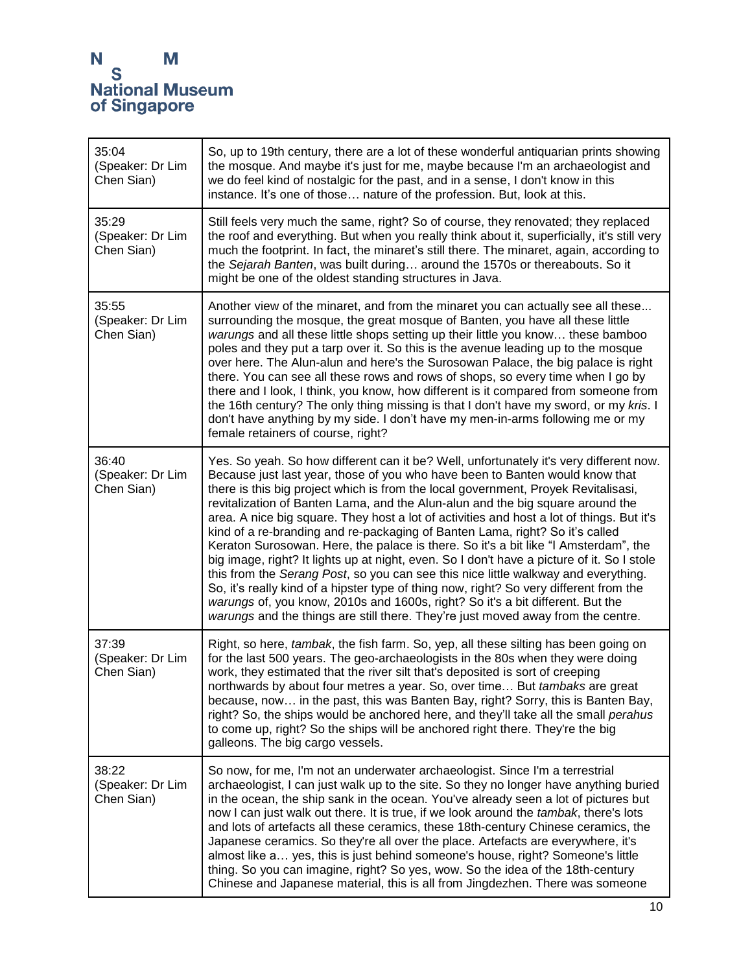| 35:04<br>(Speaker: Dr Lim<br>Chen Sian) | So, up to 19th century, there are a lot of these wonderful antiquarian prints showing<br>the mosque. And maybe it's just for me, maybe because I'm an archaeologist and<br>we do feel kind of nostalgic for the past, and in a sense, I don't know in this<br>instance. It's one of those nature of the profession. But, look at this.                                                                                                                                                                                                                                                                                                                                                                                                                                                                                                                                                                                                                                                                                                                                 |
|-----------------------------------------|------------------------------------------------------------------------------------------------------------------------------------------------------------------------------------------------------------------------------------------------------------------------------------------------------------------------------------------------------------------------------------------------------------------------------------------------------------------------------------------------------------------------------------------------------------------------------------------------------------------------------------------------------------------------------------------------------------------------------------------------------------------------------------------------------------------------------------------------------------------------------------------------------------------------------------------------------------------------------------------------------------------------------------------------------------------------|
| 35:29<br>(Speaker: Dr Lim<br>Chen Sian) | Still feels very much the same, right? So of course, they renovated; they replaced<br>the roof and everything. But when you really think about it, superficially, it's still very<br>much the footprint. In fact, the minaret's still there. The minaret, again, according to<br>the Sejarah Banten, was built during around the 1570s or thereabouts. So it<br>might be one of the oldest standing structures in Java.                                                                                                                                                                                                                                                                                                                                                                                                                                                                                                                                                                                                                                                |
| 35:55<br>(Speaker: Dr Lim<br>Chen Sian) | Another view of the minaret, and from the minaret you can actually see all these<br>surrounding the mosque, the great mosque of Banten, you have all these little<br>warungs and all these little shops setting up their little you know these bamboo<br>poles and they put a tarp over it. So this is the avenue leading up to the mosque<br>over here. The Alun-alun and here's the Surosowan Palace, the big palace is right<br>there. You can see all these rows and rows of shops, so every time when I go by<br>there and I look, I think, you know, how different is it compared from someone from<br>the 16th century? The only thing missing is that I don't have my sword, or my kris. I<br>don't have anything by my side. I don't have my men-in-arms following me or my<br>female retainers of course, right?                                                                                                                                                                                                                                             |
| 36:40<br>(Speaker: Dr Lim<br>Chen Sian) | Yes. So yeah. So how different can it be? Well, unfortunately it's very different now.<br>Because just last year, those of you who have been to Banten would know that<br>there is this big project which is from the local government, Proyek Revitalisasi,<br>revitalization of Banten Lama, and the Alun-alun and the big square around the<br>area. A nice big square. They host a lot of activities and host a lot of things. But it's<br>kind of a re-branding and re-packaging of Banten Lama, right? So it's called<br>Keraton Surosowan. Here, the palace is there. So it's a bit like "I Amsterdam", the<br>big image, right? It lights up at night, even. So I don't have a picture of it. So I stole<br>this from the Serang Post, so you can see this nice little walkway and everything.<br>So, it's really kind of a hipster type of thing now, right? So very different from the<br>warungs of, you know, 2010s and 1600s, right? So it's a bit different. But the<br>warungs and the things are still there. They're just moved away from the centre. |
| 37:39<br>(Speaker: Dr Lim<br>Chen Sian) | Right, so here, <i>tambak</i> , the fish farm. So, yep, all these silting has been going on<br>for the last 500 years. The geo-archaeologists in the 80s when they were doing<br>work, they estimated that the river silt that's deposited is sort of creeping<br>northwards by about four metres a year. So, over time But tambaks are great<br>because, now in the past, this was Banten Bay, right? Sorry, this is Banten Bay,<br>right? So, the ships would be anchored here, and they'll take all the small perahus<br>to come up, right? So the ships will be anchored right there. They're the big<br>galleons. The big cargo vessels.                                                                                                                                                                                                                                                                                                                                                                                                                          |
| 38:22<br>(Speaker: Dr Lim<br>Chen Sian) | So now, for me, I'm not an underwater archaeologist. Since I'm a terrestrial<br>archaeologist, I can just walk up to the site. So they no longer have anything buried<br>in the ocean, the ship sank in the ocean. You've already seen a lot of pictures but<br>now I can just walk out there. It is true, if we look around the tambak, there's lots<br>and lots of artefacts all these ceramics, these 18th-century Chinese ceramics, the<br>Japanese ceramics. So they're all over the place. Artefacts are everywhere, it's<br>almost like a yes, this is just behind someone's house, right? Someone's little<br>thing. So you can imagine, right? So yes, wow. So the idea of the 18th-century<br>Chinese and Japanese material, this is all from Jingdezhen. There was someone                                                                                                                                                                                                                                                                                  |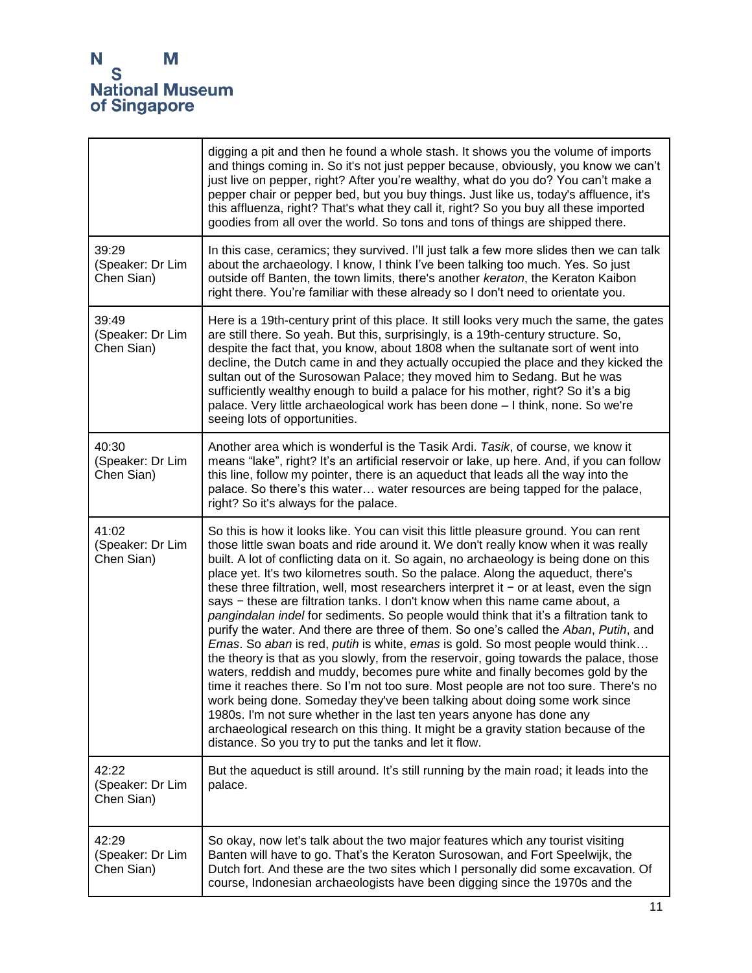|                                         | digging a pit and then he found a whole stash. It shows you the volume of imports<br>and things coming in. So it's not just pepper because, obviously, you know we can't<br>just live on pepper, right? After you're wealthy, what do you do? You can't make a<br>pepper chair or pepper bed, but you buy things. Just like us, today's affluence, it's<br>this affluenza, right? That's what they call it, right? So you buy all these imported<br>goodies from all over the world. So tons and tons of things are shipped there.                                                                                                                                                                                                                                                                                                                                                                                                                                                                                                                                                                                                                                                                                                                                                                                                                                                         |
|-----------------------------------------|--------------------------------------------------------------------------------------------------------------------------------------------------------------------------------------------------------------------------------------------------------------------------------------------------------------------------------------------------------------------------------------------------------------------------------------------------------------------------------------------------------------------------------------------------------------------------------------------------------------------------------------------------------------------------------------------------------------------------------------------------------------------------------------------------------------------------------------------------------------------------------------------------------------------------------------------------------------------------------------------------------------------------------------------------------------------------------------------------------------------------------------------------------------------------------------------------------------------------------------------------------------------------------------------------------------------------------------------------------------------------------------------|
| 39:29<br>(Speaker: Dr Lim<br>Chen Sian) | In this case, ceramics; they survived. I'll just talk a few more slides then we can talk<br>about the archaeology. I know, I think I've been talking too much. Yes. So just<br>outside off Banten, the town limits, there's another keraton, the Keraton Kaibon<br>right there. You're familiar with these already so I don't need to orientate you.                                                                                                                                                                                                                                                                                                                                                                                                                                                                                                                                                                                                                                                                                                                                                                                                                                                                                                                                                                                                                                       |
| 39:49<br>(Speaker: Dr Lim<br>Chen Sian) | Here is a 19th-century print of this place. It still looks very much the same, the gates<br>are still there. So yeah. But this, surprisingly, is a 19th-century structure. So,<br>despite the fact that, you know, about 1808 when the sultanate sort of went into<br>decline, the Dutch came in and they actually occupied the place and they kicked the<br>sultan out of the Surosowan Palace; they moved him to Sedang. But he was<br>sufficiently wealthy enough to build a palace for his mother, right? So it's a big<br>palace. Very little archaeological work has been done - I think, none. So we're<br>seeing lots of opportunities.                                                                                                                                                                                                                                                                                                                                                                                                                                                                                                                                                                                                                                                                                                                                            |
| 40:30<br>(Speaker: Dr Lim<br>Chen Sian) | Another area which is wonderful is the Tasik Ardi. Tasik, of course, we know it<br>means "lake", right? It's an artificial reservoir or lake, up here. And, if you can follow<br>this line, follow my pointer, there is an aqueduct that leads all the way into the<br>palace. So there's this water water resources are being tapped for the palace,<br>right? So it's always for the palace.                                                                                                                                                                                                                                                                                                                                                                                                                                                                                                                                                                                                                                                                                                                                                                                                                                                                                                                                                                                             |
| 41:02<br>(Speaker: Dr Lim<br>Chen Sian) | So this is how it looks like. You can visit this little pleasure ground. You can rent<br>those little swan boats and ride around it. We don't really know when it was really<br>built. A lot of conflicting data on it. So again, no archaeology is being done on this<br>place yet. It's two kilometres south. So the palace. Along the aqueduct, there's<br>these three filtration, well, most researchers interpret it $-$ or at least, even the sign<br>says - these are filtration tanks. I don't know when this name came about, a<br>pangindalan indel for sediments. So people would think that it's a filtration tank to<br>purify the water. And there are three of them. So one's called the Aban, Putih, and<br><i>Emas.</i> So aban is red, putih is white, emas is gold. So most people would think<br>the theory is that as you slowly, from the reservoir, going towards the palace, those<br>waters, reddish and muddy, becomes pure white and finally becomes gold by the<br>time it reaches there. So I'm not too sure. Most people are not too sure. There's no<br>work being done. Someday they've been talking about doing some work since<br>1980s. I'm not sure whether in the last ten years anyone has done any<br>archaeological research on this thing. It might be a gravity station because of the<br>distance. So you try to put the tanks and let it flow. |
| 42:22<br>(Speaker: Dr Lim<br>Chen Sian) | But the aqueduct is still around. It's still running by the main road; it leads into the<br>palace.                                                                                                                                                                                                                                                                                                                                                                                                                                                                                                                                                                                                                                                                                                                                                                                                                                                                                                                                                                                                                                                                                                                                                                                                                                                                                        |
| 42:29<br>(Speaker: Dr Lim<br>Chen Sian) | So okay, now let's talk about the two major features which any tourist visiting<br>Banten will have to go. That's the Keraton Surosowan, and Fort Speelwijk, the<br>Dutch fort. And these are the two sites which I personally did some excavation. Of<br>course, Indonesian archaeologists have been digging since the 1970s and the                                                                                                                                                                                                                                                                                                                                                                                                                                                                                                                                                                                                                                                                                                                                                                                                                                                                                                                                                                                                                                                      |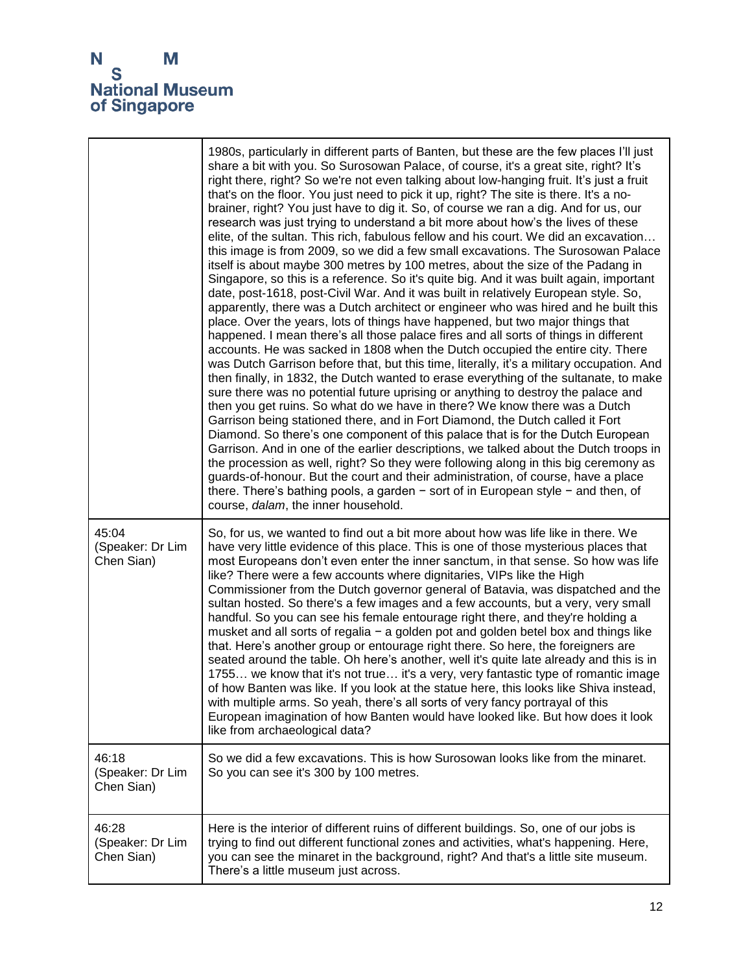|                                         | 1980s, particularly in different parts of Banten, but these are the few places I'll just<br>share a bit with you. So Surosowan Palace, of course, it's a great site, right? It's<br>right there, right? So we're not even talking about low-hanging fruit. It's just a fruit<br>that's on the floor. You just need to pick it up, right? The site is there. It's a no-<br>brainer, right? You just have to dig it. So, of course we ran a dig. And for us, our<br>research was just trying to understand a bit more about how's the lives of these<br>elite, of the sultan. This rich, fabulous fellow and his court. We did an excavation<br>this image is from 2009, so we did a few small excavations. The Surosowan Palace<br>itself is about maybe 300 metres by 100 metres, about the size of the Padang in<br>Singapore, so this is a reference. So it's quite big. And it was built again, important<br>date, post-1618, post-Civil War. And it was built in relatively European style. So,<br>apparently, there was a Dutch architect or engineer who was hired and he built this<br>place. Over the years, lots of things have happened, but two major things that<br>happened. I mean there's all those palace fires and all sorts of things in different<br>accounts. He was sacked in 1808 when the Dutch occupied the entire city. There<br>was Dutch Garrison before that, but this time, literally, it's a military occupation. And<br>then finally, in 1832, the Dutch wanted to erase everything of the sultanate, to make<br>sure there was no potential future uprising or anything to destroy the palace and<br>then you get ruins. So what do we have in there? We know there was a Dutch<br>Garrison being stationed there, and in Fort Diamond, the Dutch called it Fort<br>Diamond. So there's one component of this palace that is for the Dutch European<br>Garrison. And in one of the earlier descriptions, we talked about the Dutch troops in<br>the procession as well, right? So they were following along in this big ceremony as<br>guards-of-honour. But the court and their administration, of course, have a place<br>there. There's bathing pools, a garden $-$ sort of in European style $-$ and then, of<br>course, dalam, the inner household. |
|-----------------------------------------|------------------------------------------------------------------------------------------------------------------------------------------------------------------------------------------------------------------------------------------------------------------------------------------------------------------------------------------------------------------------------------------------------------------------------------------------------------------------------------------------------------------------------------------------------------------------------------------------------------------------------------------------------------------------------------------------------------------------------------------------------------------------------------------------------------------------------------------------------------------------------------------------------------------------------------------------------------------------------------------------------------------------------------------------------------------------------------------------------------------------------------------------------------------------------------------------------------------------------------------------------------------------------------------------------------------------------------------------------------------------------------------------------------------------------------------------------------------------------------------------------------------------------------------------------------------------------------------------------------------------------------------------------------------------------------------------------------------------------------------------------------------------------------------------------------------------------------------------------------------------------------------------------------------------------------------------------------------------------------------------------------------------------------------------------------------------------------------------------------------------------------------------------------------------------------------------------------------------------------------------------------------------------------------|
| 45:04<br>(Speaker: Dr Lim<br>Chen Sian) | So, for us, we wanted to find out a bit more about how was life like in there. We<br>have very little evidence of this place. This is one of those mysterious places that<br>most Europeans don't even enter the inner sanctum, in that sense. So how was life<br>like? There were a few accounts where dignitaries, VIPs like the High<br>Commissioner from the Dutch governor general of Batavia, was dispatched and the<br>sultan hosted. So there's a few images and a few accounts, but a very, very small<br>handful. So you can see his female entourage right there, and they're holding a<br>musket and all sorts of regalia - a golden pot and golden betel box and things like<br>that. Here's another group or entourage right there. So here, the foreigners are<br>seated around the table. Oh here's another, well it's quite late already and this is in<br>1755 we know that it's not true it's a very, very fantastic type of romantic image<br>of how Banten was like. If you look at the statue here, this looks like Shiva instead,<br>with multiple arms. So yeah, there's all sorts of very fancy portrayal of this<br>European imagination of how Banten would have looked like. But how does it look<br>like from archaeological data?                                                                                                                                                                                                                                                                                                                                                                                                                                                                                                                                                                                                                                                                                                                                                                                                                                                                                                                                                                                                                          |
| 46:18<br>(Speaker: Dr Lim<br>Chen Sian) | So we did a few excavations. This is how Surosowan looks like from the minaret.<br>So you can see it's 300 by 100 metres.                                                                                                                                                                                                                                                                                                                                                                                                                                                                                                                                                                                                                                                                                                                                                                                                                                                                                                                                                                                                                                                                                                                                                                                                                                                                                                                                                                                                                                                                                                                                                                                                                                                                                                                                                                                                                                                                                                                                                                                                                                                                                                                                                                |
| 46:28<br>(Speaker: Dr Lim<br>Chen Sian) | Here is the interior of different ruins of different buildings. So, one of our jobs is<br>trying to find out different functional zones and activities, what's happening. Here,<br>you can see the minaret in the background, right? And that's a little site museum.<br>There's a little museum just across.                                                                                                                                                                                                                                                                                                                                                                                                                                                                                                                                                                                                                                                                                                                                                                                                                                                                                                                                                                                                                                                                                                                                                                                                                                                                                                                                                                                                                                                                                                                                                                                                                                                                                                                                                                                                                                                                                                                                                                            |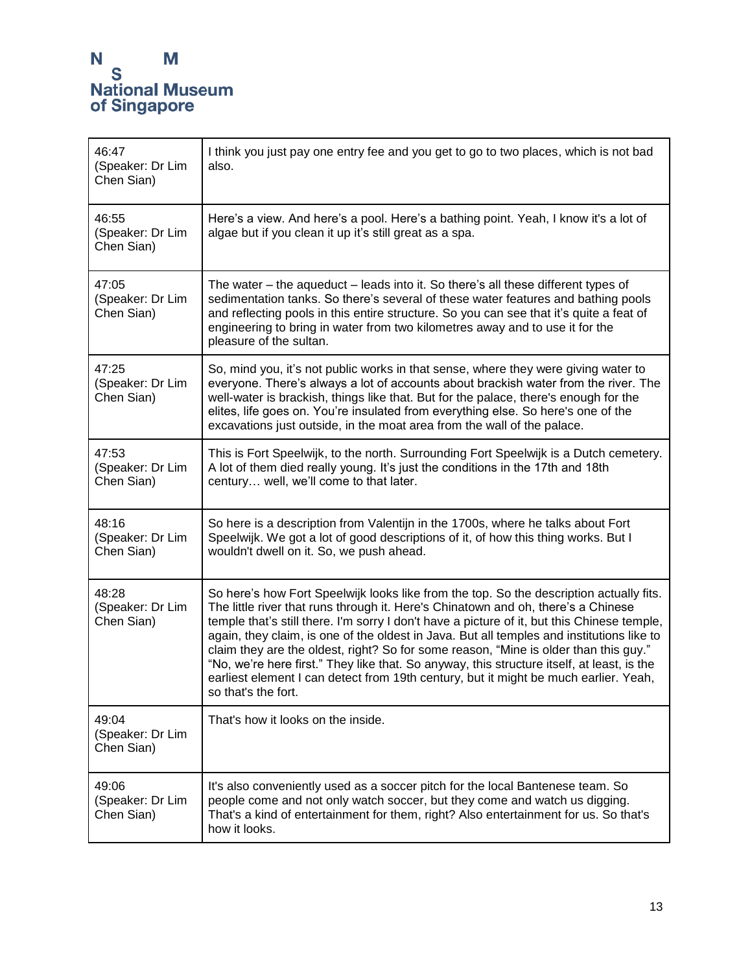| 46:47<br>(Speaker: Dr Lim<br>Chen Sian) | I think you just pay one entry fee and you get to go to two places, which is not bad<br>also.                                                                                                                                                                                                                                                                                                                                                                                                                                                                                                                                                                                 |
|-----------------------------------------|-------------------------------------------------------------------------------------------------------------------------------------------------------------------------------------------------------------------------------------------------------------------------------------------------------------------------------------------------------------------------------------------------------------------------------------------------------------------------------------------------------------------------------------------------------------------------------------------------------------------------------------------------------------------------------|
| 46:55<br>(Speaker: Dr Lim<br>Chen Sian) | Here's a view. And here's a pool. Here's a bathing point. Yeah, I know it's a lot of<br>algae but if you clean it up it's still great as a spa.                                                                                                                                                                                                                                                                                                                                                                                                                                                                                                                               |
| 47:05<br>(Speaker: Dr Lim<br>Chen Sian) | The water – the aqueduct – leads into it. So there's all these different types of<br>sedimentation tanks. So there's several of these water features and bathing pools<br>and reflecting pools in this entire structure. So you can see that it's quite a feat of<br>engineering to bring in water from two kilometres away and to use it for the<br>pleasure of the sultan.                                                                                                                                                                                                                                                                                                  |
| 47:25<br>(Speaker: Dr Lim<br>Chen Sian) | So, mind you, it's not public works in that sense, where they were giving water to<br>everyone. There's always a lot of accounts about brackish water from the river. The<br>well-water is brackish, things like that. But for the palace, there's enough for the<br>elites, life goes on. You're insulated from everything else. So here's one of the<br>excavations just outside, in the moat area from the wall of the palace.                                                                                                                                                                                                                                             |
| 47:53<br>(Speaker: Dr Lim<br>Chen Sian) | This is Fort Speelwijk, to the north. Surrounding Fort Speelwijk is a Dutch cemetery.<br>A lot of them died really young. It's just the conditions in the 17th and 18th<br>century well, we'll come to that later.                                                                                                                                                                                                                                                                                                                                                                                                                                                            |
| 48:16<br>(Speaker: Dr Lim<br>Chen Sian) | So here is a description from Valentijn in the 1700s, where he talks about Fort<br>Speelwijk. We got a lot of good descriptions of it, of how this thing works. But I<br>wouldn't dwell on it. So, we push ahead.                                                                                                                                                                                                                                                                                                                                                                                                                                                             |
| 48:28<br>(Speaker: Dr Lim<br>Chen Sian) | So here's how Fort Speelwijk looks like from the top. So the description actually fits.<br>The little river that runs through it. Here's Chinatown and oh, there's a Chinese<br>temple that's still there. I'm sorry I don't have a picture of it, but this Chinese temple,<br>again, they claim, is one of the oldest in Java. But all temples and institutions like to<br>claim they are the oldest, right? So for some reason, "Mine is older than this guy."<br>"No, we're here first." They like that. So anyway, this structure itself, at least, is the<br>earliest element I can detect from 19th century, but it might be much earlier. Yeah,<br>so that's the fort. |
| 49:04<br>(Speaker: Dr Lim<br>Chen Sian) | That's how it looks on the inside.                                                                                                                                                                                                                                                                                                                                                                                                                                                                                                                                                                                                                                            |
| 49:06<br>(Speaker: Dr Lim<br>Chen Sian) | It's also conveniently used as a soccer pitch for the local Bantenese team. So<br>people come and not only watch soccer, but they come and watch us digging.<br>That's a kind of entertainment for them, right? Also entertainment for us. So that's<br>how it looks.                                                                                                                                                                                                                                                                                                                                                                                                         |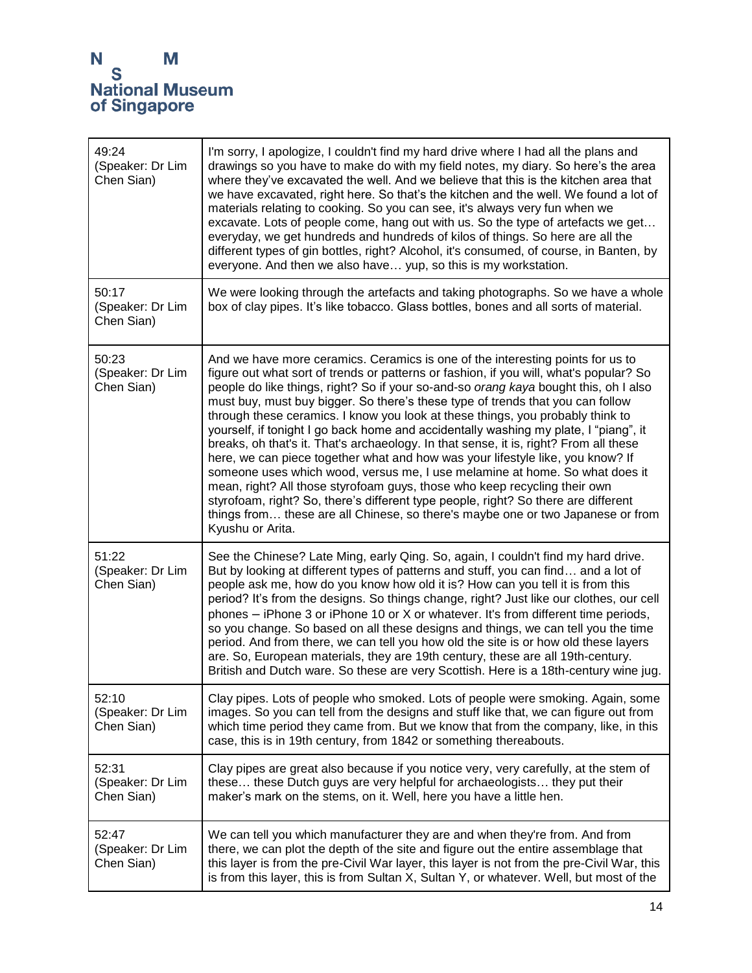| 49:24<br>(Speaker: Dr Lim<br>Chen Sian) | I'm sorry, I apologize, I couldn't find my hard drive where I had all the plans and<br>drawings so you have to make do with my field notes, my diary. So here's the area<br>where they've excavated the well. And we believe that this is the kitchen area that<br>we have excavated, right here. So that's the kitchen and the well. We found a lot of<br>materials relating to cooking. So you can see, it's always very fun when we<br>excavate. Lots of people come, hang out with us. So the type of artefacts we get<br>everyday, we get hundreds and hundreds of kilos of things. So here are all the<br>different types of gin bottles, right? Alcohol, it's consumed, of course, in Banten, by<br>everyone. And then we also have yup, so this is my workstation.                                                                                                                                                                                                                                                                                       |
|-----------------------------------------|------------------------------------------------------------------------------------------------------------------------------------------------------------------------------------------------------------------------------------------------------------------------------------------------------------------------------------------------------------------------------------------------------------------------------------------------------------------------------------------------------------------------------------------------------------------------------------------------------------------------------------------------------------------------------------------------------------------------------------------------------------------------------------------------------------------------------------------------------------------------------------------------------------------------------------------------------------------------------------------------------------------------------------------------------------------|
| 50:17<br>(Speaker: Dr Lim<br>Chen Sian) | We were looking through the artefacts and taking photographs. So we have a whole<br>box of clay pipes. It's like tobacco. Glass bottles, bones and all sorts of material.                                                                                                                                                                                                                                                                                                                                                                                                                                                                                                                                                                                                                                                                                                                                                                                                                                                                                        |
| 50:23<br>(Speaker: Dr Lim<br>Chen Sian) | And we have more ceramics. Ceramics is one of the interesting points for us to<br>figure out what sort of trends or patterns or fashion, if you will, what's popular? So<br>people do like things, right? So if your so-and-so orang kaya bought this, oh I also<br>must buy, must buy bigger. So there's these type of trends that you can follow<br>through these ceramics. I know you look at these things, you probably think to<br>yourself, if tonight I go back home and accidentally washing my plate, I "piang", it<br>breaks, oh that's it. That's archaeology. In that sense, it is, right? From all these<br>here, we can piece together what and how was your lifestyle like, you know? If<br>someone uses which wood, versus me, I use melamine at home. So what does it<br>mean, right? All those styrofoam guys, those who keep recycling their own<br>styrofoam, right? So, there's different type people, right? So there are different<br>things from these are all Chinese, so there's maybe one or two Japanese or from<br>Kyushu or Arita. |
| 51:22<br>(Speaker: Dr Lim<br>Chen Sian) | See the Chinese? Late Ming, early Qing. So, again, I couldn't find my hard drive.<br>But by looking at different types of patterns and stuff, you can find and a lot of<br>people ask me, how do you know how old it is? How can you tell it is from this<br>period? It's from the designs. So things change, right? Just like our clothes, our cell<br>phones - iPhone 3 or iPhone 10 or X or whatever. It's from different time periods,<br>so you change. So based on all these designs and things, we can tell you the time<br>period. And from there, we can tell you how old the site is or how old these layers<br>are. So, European materials, they are 19th century, these are all 19th-century.<br>British and Dutch ware. So these are very Scottish. Here is a 18th-century wine jug.                                                                                                                                                                                                                                                                |
| 52:10<br>(Speaker: Dr Lim<br>Chen Sian) | Clay pipes. Lots of people who smoked. Lots of people were smoking. Again, some<br>images. So you can tell from the designs and stuff like that, we can figure out from<br>which time period they came from. But we know that from the company, like, in this<br>case, this is in 19th century, from 1842 or something thereabouts.                                                                                                                                                                                                                                                                                                                                                                                                                                                                                                                                                                                                                                                                                                                              |
| 52:31<br>(Speaker: Dr Lim<br>Chen Sian) | Clay pipes are great also because if you notice very, very carefully, at the stem of<br>these these Dutch guys are very helpful for archaeologists they put their<br>maker's mark on the stems, on it. Well, here you have a little hen.                                                                                                                                                                                                                                                                                                                                                                                                                                                                                                                                                                                                                                                                                                                                                                                                                         |
| 52:47<br>(Speaker: Dr Lim<br>Chen Sian) | We can tell you which manufacturer they are and when they're from. And from<br>there, we can plot the depth of the site and figure out the entire assemblage that<br>this layer is from the pre-Civil War layer, this layer is not from the pre-Civil War, this<br>is from this layer, this is from Sultan X, Sultan Y, or whatever. Well, but most of the                                                                                                                                                                                                                                                                                                                                                                                                                                                                                                                                                                                                                                                                                                       |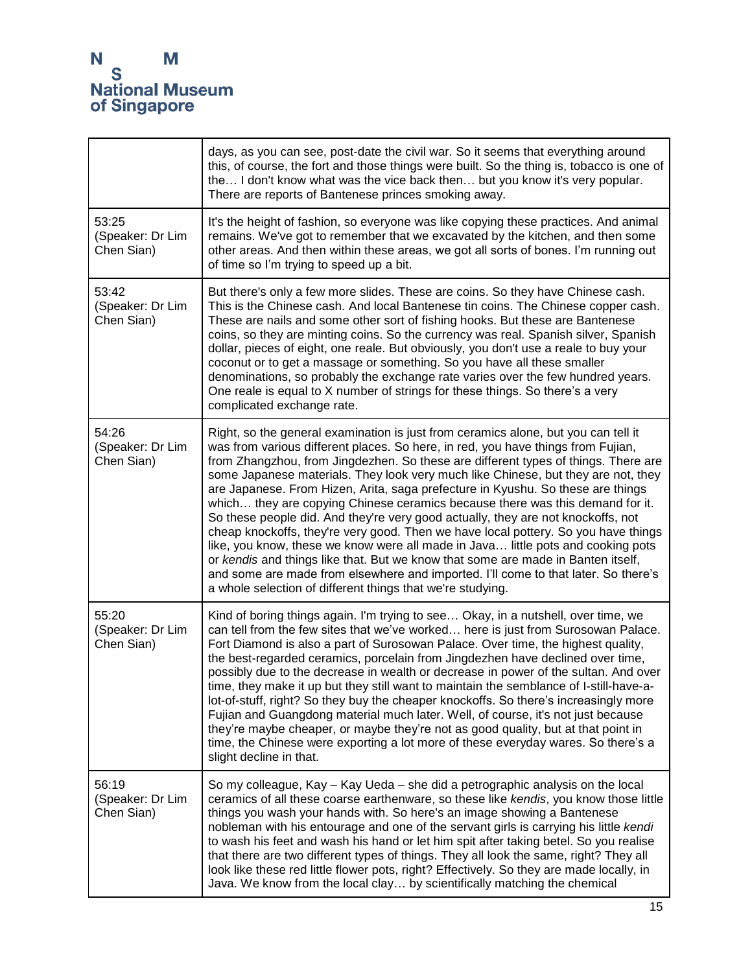|                                         | days, as you can see, post-date the civil war. So it seems that everything around<br>this, of course, the fort and those things were built. So the thing is, tobacco is one of<br>the I don't know what was the vice back then but you know it's very popular.<br>There are reports of Bantenese princes smoking away.                                                                                                                                                                                                                                                                                                                                                                                                                                                                                                                                                                                                                                                                                                      |
|-----------------------------------------|-----------------------------------------------------------------------------------------------------------------------------------------------------------------------------------------------------------------------------------------------------------------------------------------------------------------------------------------------------------------------------------------------------------------------------------------------------------------------------------------------------------------------------------------------------------------------------------------------------------------------------------------------------------------------------------------------------------------------------------------------------------------------------------------------------------------------------------------------------------------------------------------------------------------------------------------------------------------------------------------------------------------------------|
| 53:25<br>(Speaker: Dr Lim<br>Chen Sian) | It's the height of fashion, so everyone was like copying these practices. And animal<br>remains. We've got to remember that we excavated by the kitchen, and then some<br>other areas. And then within these areas, we got all sorts of bones. I'm running out<br>of time so I'm trying to speed up a bit.                                                                                                                                                                                                                                                                                                                                                                                                                                                                                                                                                                                                                                                                                                                  |
| 53:42<br>(Speaker: Dr Lim<br>Chen Sian) | But there's only a few more slides. These are coins. So they have Chinese cash.<br>This is the Chinese cash. And local Bantenese tin coins. The Chinese copper cash.<br>These are nails and some other sort of fishing hooks. But these are Bantenese<br>coins, so they are minting coins. So the currency was real. Spanish silver, Spanish<br>dollar, pieces of eight, one reale. But obviously, you don't use a reale to buy your<br>coconut or to get a massage or something. So you have all these smaller<br>denominations, so probably the exchange rate varies over the few hundred years.<br>One reale is equal to X number of strings for these things. So there's a very<br>complicated exchange rate.                                                                                                                                                                                                                                                                                                           |
| 54:26<br>(Speaker: Dr Lim<br>Chen Sian) | Right, so the general examination is just from ceramics alone, but you can tell it<br>was from various different places. So here, in red, you have things from Fujian,<br>from Zhangzhou, from Jingdezhen. So these are different types of things. There are<br>some Japanese materials. They look very much like Chinese, but they are not, they<br>are Japanese. From Hizen, Arita, saga prefecture in Kyushu. So these are things<br>which they are copying Chinese ceramics because there was this demand for it.<br>So these people did. And they're very good actually, they are not knockoffs, not<br>cheap knockoffs, they're very good. Then we have local pottery. So you have things<br>like, you know, these we know were all made in Java little pots and cooking pots<br>or kendis and things like that. But we know that some are made in Banten itself,<br>and some are made from elsewhere and imported. I'll come to that later. So there's<br>a whole selection of different things that we're studying. |
| 55:20<br>(Speaker: Dr Lim<br>Chen Sian) | Kind of boring things again. I'm trying to see Okay, in a nutshell, over time, we<br>can tell from the few sites that we've worked here is just from Surosowan Palace.<br>Fort Diamond is also a part of Surosowan Palace. Over time, the highest quality,<br>the best-regarded ceramics, porcelain from Jingdezhen have declined over time,<br>possibly due to the decrease in wealth or decrease in power of the sultan. And over<br>time, they make it up but they still want to maintain the semblance of I-still-have-a-<br>lot-of-stuff, right? So they buy the cheaper knockoffs. So there's increasingly more<br>Fujian and Guangdong material much later. Well, of course, it's not just because<br>they're maybe cheaper, or maybe they're not as good quality, but at that point in<br>time, the Chinese were exporting a lot more of these everyday wares. So there's a<br>slight decline in that.                                                                                                              |
| 56:19<br>(Speaker: Dr Lim<br>Chen Sian) | So my colleague, Kay – Kay Ueda – she did a petrographic analysis on the local<br>ceramics of all these coarse earthenware, so these like kendis, you know those little<br>things you wash your hands with. So here's an image showing a Bantenese<br>nobleman with his entourage and one of the servant girls is carrying his little kendi<br>to wash his feet and wash his hand or let him spit after taking betel. So you realise<br>that there are two different types of things. They all look the same, right? They all<br>look like these red little flower pots, right? Effectively. So they are made locally, in<br>Java. We know from the local clay by scientifically matching the chemical                                                                                                                                                                                                                                                                                                                      |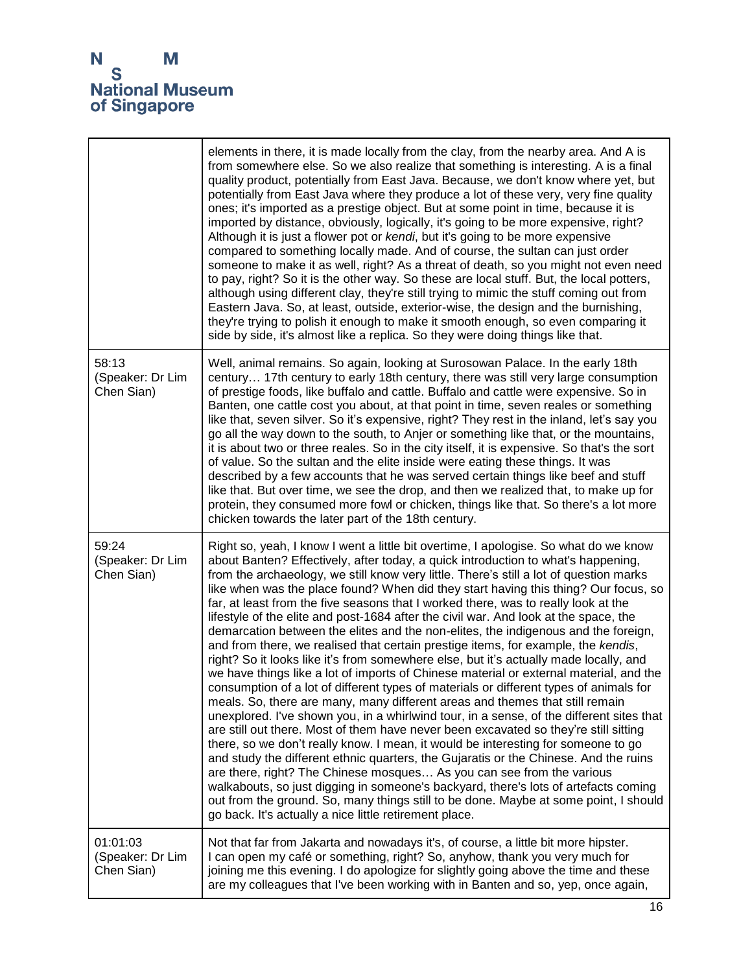|                                            | elements in there, it is made locally from the clay, from the nearby area. And A is<br>from somewhere else. So we also realize that something is interesting. A is a final<br>quality product, potentially from East Java. Because, we don't know where yet, but<br>potentially from East Java where they produce a lot of these very, very fine quality<br>ones; it's imported as a prestige object. But at some point in time, because it is<br>imported by distance, obviously, logically, it's going to be more expensive, right?<br>Although it is just a flower pot or kendi, but it's going to be more expensive<br>compared to something locally made. And of course, the sultan can just order<br>someone to make it as well, right? As a threat of death, so you might not even need<br>to pay, right? So it is the other way. So these are local stuff. But, the local potters,<br>although using different clay, they're still trying to mimic the stuff coming out from<br>Eastern Java. So, at least, outside, exterior-wise, the design and the burnishing,<br>they're trying to polish it enough to make it smooth enough, so even comparing it<br>side by side, it's almost like a replica. So they were doing things like that.                                                                                                                                                                                                                                                                                                                                                                                                                                                                                                                   |
|--------------------------------------------|---------------------------------------------------------------------------------------------------------------------------------------------------------------------------------------------------------------------------------------------------------------------------------------------------------------------------------------------------------------------------------------------------------------------------------------------------------------------------------------------------------------------------------------------------------------------------------------------------------------------------------------------------------------------------------------------------------------------------------------------------------------------------------------------------------------------------------------------------------------------------------------------------------------------------------------------------------------------------------------------------------------------------------------------------------------------------------------------------------------------------------------------------------------------------------------------------------------------------------------------------------------------------------------------------------------------------------------------------------------------------------------------------------------------------------------------------------------------------------------------------------------------------------------------------------------------------------------------------------------------------------------------------------------------------------------------------------------------------------------------------------------------|
| 58:13<br>(Speaker: Dr Lim<br>Chen Sian)    | Well, animal remains. So again, looking at Surosowan Palace. In the early 18th<br>century 17th century to early 18th century, there was still very large consumption<br>of prestige foods, like buffalo and cattle. Buffalo and cattle were expensive. So in<br>Banten, one cattle cost you about, at that point in time, seven reales or something<br>like that, seven silver. So it's expensive, right? They rest in the inland, let's say you<br>go all the way down to the south, to Anjer or something like that, or the mountains,<br>it is about two or three reales. So in the city itself, it is expensive. So that's the sort<br>of value. So the sultan and the elite inside were eating these things. It was<br>described by a few accounts that he was served certain things like beef and stuff<br>like that. But over time, we see the drop, and then we realized that, to make up for<br>protein, they consumed more fowl or chicken, things like that. So there's a lot more<br>chicken towards the later part of the 18th century.                                                                                                                                                                                                                                                                                                                                                                                                                                                                                                                                                                                                                                                                                                                |
| 59:24<br>(Speaker: Dr Lim<br>Chen Sian)    | Right so, yeah, I know I went a little bit overtime, I apologise. So what do we know<br>about Banten? Effectively, after today, a quick introduction to what's happening,<br>from the archaeology, we still know very little. There's still a lot of question marks<br>like when was the place found? When did they start having this thing? Our focus, so<br>far, at least from the five seasons that I worked there, was to really look at the<br>lifestyle of the elite and post-1684 after the civil war. And look at the space, the<br>demarcation between the elites and the non-elites, the indigenous and the foreign,<br>and from there, we realised that certain prestige items, for example, the kendis,<br>right? So it looks like it's from somewhere else, but it's actually made locally, and<br>we have things like a lot of imports of Chinese material or external material, and the<br>consumption of a lot of different types of materials or different types of animals for<br>meals. So, there are many, many different areas and themes that still remain<br>unexplored. I've shown you, in a whirlwind tour, in a sense, of the different sites that<br>are still out there. Most of them have never been excavated so they're still sitting<br>there, so we don't really know. I mean, it would be interesting for someone to go<br>and study the different ethnic quarters, the Gujaratis or the Chinese. And the ruins<br>are there, right? The Chinese mosques As you can see from the various<br>walkabouts, so just digging in someone's backyard, there's lots of artefacts coming<br>out from the ground. So, many things still to be done. Maybe at some point, I should<br>go back. It's actually a nice little retirement place. |
| 01:01:03<br>(Speaker: Dr Lim<br>Chen Sian) | Not that far from Jakarta and nowadays it's, of course, a little bit more hipster.<br>I can open my café or something, right? So, anyhow, thank you very much for<br>joining me this evening. I do apologize for slightly going above the time and these<br>are my colleagues that I've been working with in Banten and so, yep, once again,                                                                                                                                                                                                                                                                                                                                                                                                                                                                                                                                                                                                                                                                                                                                                                                                                                                                                                                                                                                                                                                                                                                                                                                                                                                                                                                                                                                                                        |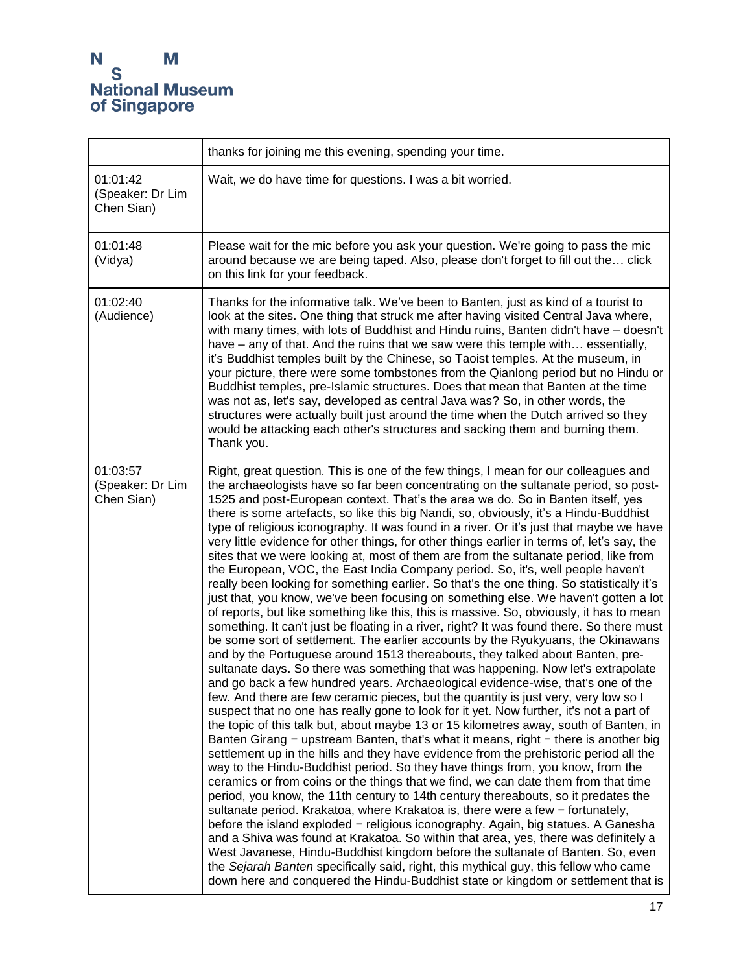|                                            | thanks for joining me this evening, spending your time.                                                                                                                                                                                                                                                                                                                                                                                                                                                                                                                                                                                                                                                                                                                                                                                                                                                                                                                                                                                                                                                                                                                                                                                                                                                                                                                                                                                                                                                                                                                                                                                                                                                                                                                                                                                                                                                                                                                                                                                                                                                                                                                                                                                                                                                                                                                                                                                                                                                                                                                                                                                                                                                     |
|--------------------------------------------|-------------------------------------------------------------------------------------------------------------------------------------------------------------------------------------------------------------------------------------------------------------------------------------------------------------------------------------------------------------------------------------------------------------------------------------------------------------------------------------------------------------------------------------------------------------------------------------------------------------------------------------------------------------------------------------------------------------------------------------------------------------------------------------------------------------------------------------------------------------------------------------------------------------------------------------------------------------------------------------------------------------------------------------------------------------------------------------------------------------------------------------------------------------------------------------------------------------------------------------------------------------------------------------------------------------------------------------------------------------------------------------------------------------------------------------------------------------------------------------------------------------------------------------------------------------------------------------------------------------------------------------------------------------------------------------------------------------------------------------------------------------------------------------------------------------------------------------------------------------------------------------------------------------------------------------------------------------------------------------------------------------------------------------------------------------------------------------------------------------------------------------------------------------------------------------------------------------------------------------------------------------------------------------------------------------------------------------------------------------------------------------------------------------------------------------------------------------------------------------------------------------------------------------------------------------------------------------------------------------------------------------------------------------------------------------------------------------|
| 01:01:42<br>(Speaker: Dr Lim<br>Chen Sian) | Wait, we do have time for questions. I was a bit worried.                                                                                                                                                                                                                                                                                                                                                                                                                                                                                                                                                                                                                                                                                                                                                                                                                                                                                                                                                                                                                                                                                                                                                                                                                                                                                                                                                                                                                                                                                                                                                                                                                                                                                                                                                                                                                                                                                                                                                                                                                                                                                                                                                                                                                                                                                                                                                                                                                                                                                                                                                                                                                                                   |
| 01:01:48<br>(Vidya)                        | Please wait for the mic before you ask your question. We're going to pass the mic<br>around because we are being taped. Also, please don't forget to fill out the click<br>on this link for your feedback.                                                                                                                                                                                                                                                                                                                                                                                                                                                                                                                                                                                                                                                                                                                                                                                                                                                                                                                                                                                                                                                                                                                                                                                                                                                                                                                                                                                                                                                                                                                                                                                                                                                                                                                                                                                                                                                                                                                                                                                                                                                                                                                                                                                                                                                                                                                                                                                                                                                                                                  |
| 01:02:40<br>(Audience)                     | Thanks for the informative talk. We've been to Banten, just as kind of a tourist to<br>look at the sites. One thing that struck me after having visited Central Java where,<br>with many times, with lots of Buddhist and Hindu ruins, Banten didn't have - doesn't<br>have – any of that. And the ruins that we saw were this temple with essentially,<br>it's Buddhist temples built by the Chinese, so Taoist temples. At the museum, in<br>your picture, there were some tombstones from the Qianlong period but no Hindu or<br>Buddhist temples, pre-Islamic structures. Does that mean that Banten at the time<br>was not as, let's say, developed as central Java was? So, in other words, the<br>structures were actually built just around the time when the Dutch arrived so they<br>would be attacking each other's structures and sacking them and burning them.<br>Thank you.                                                                                                                                                                                                                                                                                                                                                                                                                                                                                                                                                                                                                                                                                                                                                                                                                                                                                                                                                                                                                                                                                                                                                                                                                                                                                                                                                                                                                                                                                                                                                                                                                                                                                                                                                                                                                  |
| 01:03:57<br>(Speaker: Dr Lim<br>Chen Sian) | Right, great question. This is one of the few things, I mean for our colleagues and<br>the archaeologists have so far been concentrating on the sultanate period, so post-<br>1525 and post-European context. That's the area we do. So in Banten itself, yes<br>there is some artefacts, so like this big Nandi, so, obviously, it's a Hindu-Buddhist<br>type of religious iconography. It was found in a river. Or it's just that maybe we have<br>very little evidence for other things, for other things earlier in terms of, let's say, the<br>sites that we were looking at, most of them are from the sultanate period, like from<br>the European, VOC, the East India Company period. So, it's, well people haven't<br>really been looking for something earlier. So that's the one thing. So statistically it's<br>just that, you know, we've been focusing on something else. We haven't gotten a lot<br>of reports, but like something like this, this is massive. So, obviously, it has to mean<br>something. It can't just be floating in a river, right? It was found there. So there must<br>be some sort of settlement. The earlier accounts by the Ryukyuans, the Okinawans<br>and by the Portuguese around 1513 thereabouts, they talked about Banten, pre-<br>sultanate days. So there was something that was happening. Now let's extrapolate<br>and go back a few hundred years. Archaeological evidence-wise, that's one of the<br>few. And there are few ceramic pieces, but the quantity is just very, very low so I<br>suspect that no one has really gone to look for it yet. Now further, it's not a part of<br>the topic of this talk but, about maybe 13 or 15 kilometres away, south of Banten, in<br>Banten Girang - upstream Banten, that's what it means, right - there is another big<br>settlement up in the hills and they have evidence from the prehistoric period all the<br>way to the Hindu-Buddhist period. So they have things from, you know, from the<br>ceramics or from coins or the things that we find, we can date them from that time<br>period, you know, the 11th century to 14th century thereabouts, so it predates the<br>sultanate period. Krakatoa, where Krakatoa is, there were a few - fortunately,<br>before the island exploded - religious iconography. Again, big statues. A Ganesha<br>and a Shiva was found at Krakatoa. So within that area, yes, there was definitely a<br>West Javanese, Hindu-Buddhist kingdom before the sultanate of Banten. So, even<br>the Sejarah Banten specifically said, right, this mythical guy, this fellow who came<br>down here and conquered the Hindu-Buddhist state or kingdom or settlement that is |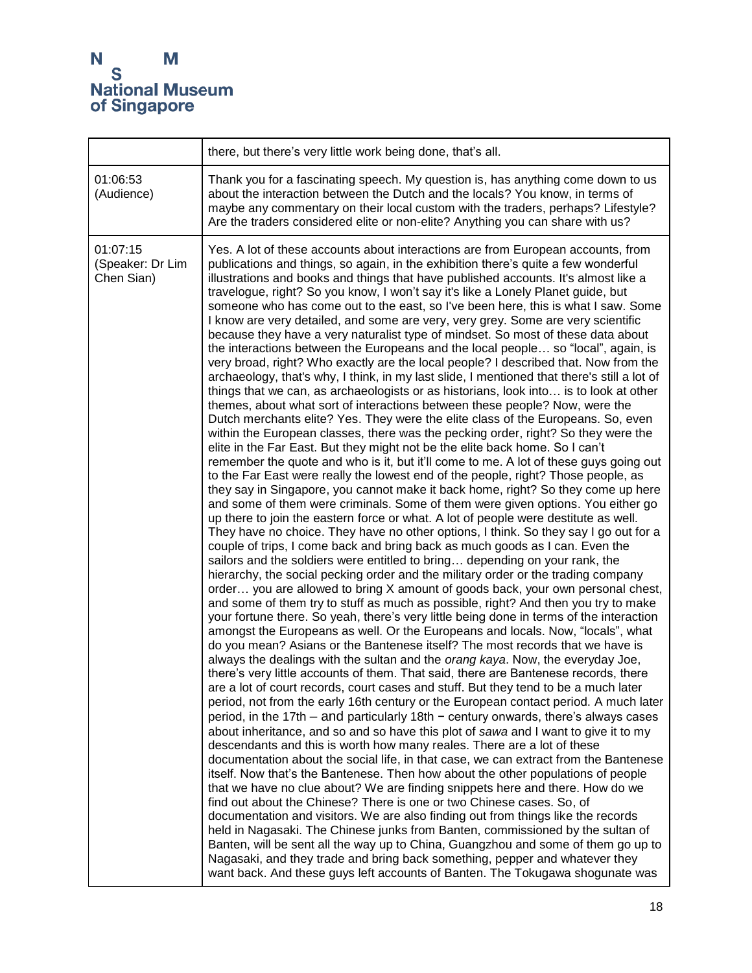|                                            | there, but there's very little work being done, that's all.                                                                                                                                                                                                                                                                                                                                                                                                                                                                                                                                                                                                                                                                                                                                                                                                                                                                                                                                                                                                                                                                                                                                                                                                                                                                                                                                                                                                                                                                                                                                                                                                                                                                                                                                                                                                                                                                                                                                                                                                                                                                                                                                                                                                                                                                                                                                                                                                                                                                                                                                                                                                                                                                                                                                                                                                                                                                                                                                                                                                                                                                                                                                                                                                                                                                                                                                                                                                                                                                                                                                                                                                                                                                                                                                                                                                                                                                                  |
|--------------------------------------------|----------------------------------------------------------------------------------------------------------------------------------------------------------------------------------------------------------------------------------------------------------------------------------------------------------------------------------------------------------------------------------------------------------------------------------------------------------------------------------------------------------------------------------------------------------------------------------------------------------------------------------------------------------------------------------------------------------------------------------------------------------------------------------------------------------------------------------------------------------------------------------------------------------------------------------------------------------------------------------------------------------------------------------------------------------------------------------------------------------------------------------------------------------------------------------------------------------------------------------------------------------------------------------------------------------------------------------------------------------------------------------------------------------------------------------------------------------------------------------------------------------------------------------------------------------------------------------------------------------------------------------------------------------------------------------------------------------------------------------------------------------------------------------------------------------------------------------------------------------------------------------------------------------------------------------------------------------------------------------------------------------------------------------------------------------------------------------------------------------------------------------------------------------------------------------------------------------------------------------------------------------------------------------------------------------------------------------------------------------------------------------------------------------------------------------------------------------------------------------------------------------------------------------------------------------------------------------------------------------------------------------------------------------------------------------------------------------------------------------------------------------------------------------------------------------------------------------------------------------------------------------------------------------------------------------------------------------------------------------------------------------------------------------------------------------------------------------------------------------------------------------------------------------------------------------------------------------------------------------------------------------------------------------------------------------------------------------------------------------------------------------------------------------------------------------------------------------------------------------------------------------------------------------------------------------------------------------------------------------------------------------------------------------------------------------------------------------------------------------------------------------------------------------------------------------------------------------------------------------------------------------------------------------------------------------------------|
| 01:06:53<br>(Audience)                     | Thank you for a fascinating speech. My question is, has anything come down to us<br>about the interaction between the Dutch and the locals? You know, in terms of<br>maybe any commentary on their local custom with the traders, perhaps? Lifestyle?<br>Are the traders considered elite or non-elite? Anything you can share with us?                                                                                                                                                                                                                                                                                                                                                                                                                                                                                                                                                                                                                                                                                                                                                                                                                                                                                                                                                                                                                                                                                                                                                                                                                                                                                                                                                                                                                                                                                                                                                                                                                                                                                                                                                                                                                                                                                                                                                                                                                                                                                                                                                                                                                                                                                                                                                                                                                                                                                                                                                                                                                                                                                                                                                                                                                                                                                                                                                                                                                                                                                                                                                                                                                                                                                                                                                                                                                                                                                                                                                                                                      |
| 01:07:15<br>(Speaker: Dr Lim<br>Chen Sian) | Yes. A lot of these accounts about interactions are from European accounts, from<br>publications and things, so again, in the exhibition there's quite a few wonderful<br>illustrations and books and things that have published accounts. It's almost like a<br>travelogue, right? So you know, I won't say it's like a Lonely Planet guide, but<br>someone who has come out to the east, so I've been here, this is what I saw. Some<br>I know are very detailed, and some are very, very grey. Some are very scientific<br>because they have a very naturalist type of mindset. So most of these data about<br>the interactions between the Europeans and the local people so "local", again, is<br>very broad, right? Who exactly are the local people? I described that. Now from the<br>archaeology, that's why, I think, in my last slide, I mentioned that there's still a lot of<br>things that we can, as archaeologists or as historians, look into is to look at other<br>themes, about what sort of interactions between these people? Now, were the<br>Dutch merchants elite? Yes. They were the elite class of the Europeans. So, even<br>within the European classes, there was the pecking order, right? So they were the<br>elite in the Far East. But they might not be the elite back home. So I can't<br>remember the quote and who is it, but it'll come to me. A lot of these guys going out<br>to the Far East were really the lowest end of the people, right? Those people, as<br>they say in Singapore, you cannot make it back home, right? So they come up here<br>and some of them were criminals. Some of them were given options. You either go<br>up there to join the eastern force or what. A lot of people were destitute as well.<br>They have no choice. They have no other options, I think. So they say I go out for a<br>couple of trips, I come back and bring back as much goods as I can. Even the<br>sailors and the soldiers were entitled to bring depending on your rank, the<br>hierarchy, the social pecking order and the military order or the trading company<br>order you are allowed to bring X amount of goods back, your own personal chest,<br>and some of them try to stuff as much as possible, right? And then you try to make<br>your fortune there. So yeah, there's very little being done in terms of the interaction<br>amongst the Europeans as well. Or the Europeans and locals. Now, "locals", what<br>do you mean? Asians or the Bantenese itself? The most records that we have is<br>always the dealings with the sultan and the orang kaya. Now, the everyday Joe,<br>there's very little accounts of them. That said, there are Bantenese records, there<br>are a lot of court records, court cases and stuff. But they tend to be a much later<br>period, not from the early 16th century or the European contact period. A much later<br>period, in the 17th – and particularly 18th – century onwards, there's always cases<br>about inheritance, and so and so have this plot of sawa and I want to give it to my<br>descendants and this is worth how many reales. There are a lot of these<br>documentation about the social life, in that case, we can extract from the Bantenese<br>itself. Now that's the Bantenese. Then how about the other populations of people<br>that we have no clue about? We are finding snippets here and there. How do we<br>find out about the Chinese? There is one or two Chinese cases. So, of<br>documentation and visitors. We are also finding out from things like the records<br>held in Nagasaki. The Chinese junks from Banten, commissioned by the sultan of<br>Banten, will be sent all the way up to China, Guangzhou and some of them go up to<br>Nagasaki, and they trade and bring back something, pepper and whatever they<br>want back. And these guys left accounts of Banten. The Tokugawa shogunate was |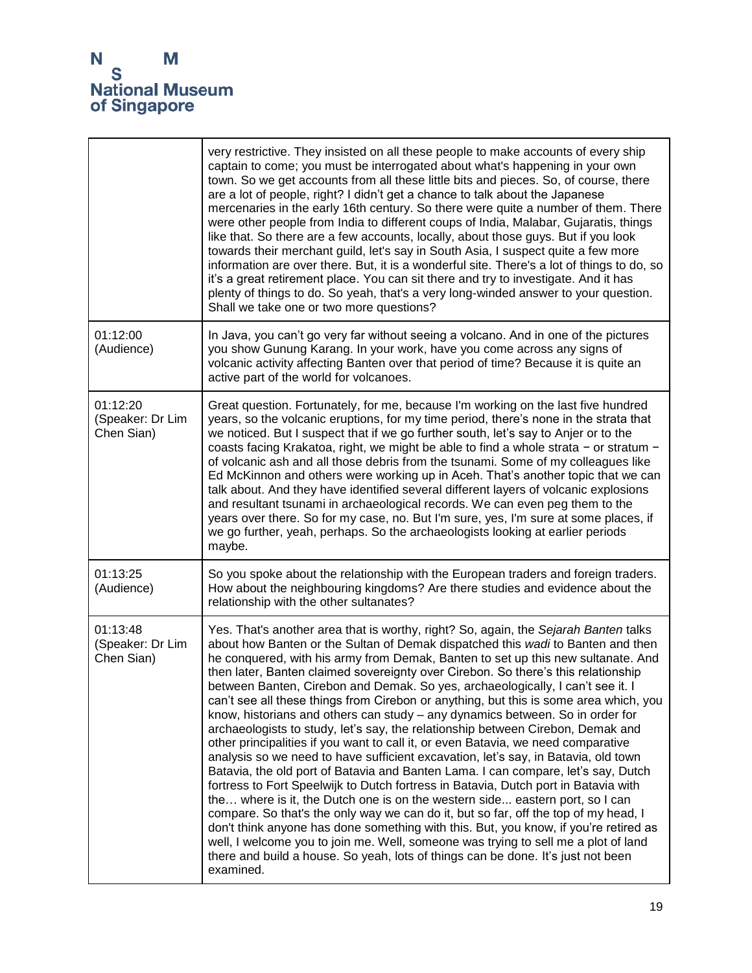|                                            | very restrictive. They insisted on all these people to make accounts of every ship<br>captain to come; you must be interrogated about what's happening in your own<br>town. So we get accounts from all these little bits and pieces. So, of course, there<br>are a lot of people, right? I didn't get a chance to talk about the Japanese<br>mercenaries in the early 16th century. So there were quite a number of them. There<br>were other people from India to different coups of India, Malabar, Gujaratis, things<br>like that. So there are a few accounts, locally, about those guys. But if you look<br>towards their merchant guild, let's say in South Asia, I suspect quite a few more<br>information are over there. But, it is a wonderful site. There's a lot of things to do, so<br>it's a great retirement place. You can sit there and try to investigate. And it has<br>plenty of things to do. So yeah, that's a very long-winded answer to your question.<br>Shall we take one or two more questions?                                                                                                                                                                                                                                                                                                                                                                                                                                                                                 |
|--------------------------------------------|-------------------------------------------------------------------------------------------------------------------------------------------------------------------------------------------------------------------------------------------------------------------------------------------------------------------------------------------------------------------------------------------------------------------------------------------------------------------------------------------------------------------------------------------------------------------------------------------------------------------------------------------------------------------------------------------------------------------------------------------------------------------------------------------------------------------------------------------------------------------------------------------------------------------------------------------------------------------------------------------------------------------------------------------------------------------------------------------------------------------------------------------------------------------------------------------------------------------------------------------------------------------------------------------------------------------------------------------------------------------------------------------------------------------------------------------------------------------------------------------------------------|
| 01:12:00<br>(Audience)                     | In Java, you can't go very far without seeing a volcano. And in one of the pictures<br>you show Gunung Karang. In your work, have you come across any signs of<br>volcanic activity affecting Banten over that period of time? Because it is quite an<br>active part of the world for volcanoes.                                                                                                                                                                                                                                                                                                                                                                                                                                                                                                                                                                                                                                                                                                                                                                                                                                                                                                                                                                                                                                                                                                                                                                                                            |
| 01:12:20<br>(Speaker: Dr Lim<br>Chen Sian) | Great question. Fortunately, for me, because I'm working on the last five hundred<br>years, so the volcanic eruptions, for my time period, there's none in the strata that<br>we noticed. But I suspect that if we go further south, let's say to Anjer or to the<br>coasts facing Krakatoa, right, we might be able to find a whole strata - or stratum -<br>of volcanic ash and all those debris from the tsunami. Some of my colleagues like<br>Ed McKinnon and others were working up in Aceh. That's another topic that we can<br>talk about. And they have identified several different layers of volcanic explosions<br>and resultant tsunami in archaeological records. We can even peg them to the<br>years over there. So for my case, no. But I'm sure, yes, I'm sure at some places, if<br>we go further, yeah, perhaps. So the archaeologists looking at earlier periods<br>maybe.                                                                                                                                                                                                                                                                                                                                                                                                                                                                                                                                                                                                             |
| 01:13:25<br>(Audience)                     | So you spoke about the relationship with the European traders and foreign traders.<br>How about the neighbouring kingdoms? Are there studies and evidence about the<br>relationship with the other sultanates?                                                                                                                                                                                                                                                                                                                                                                                                                                                                                                                                                                                                                                                                                                                                                                                                                                                                                                                                                                                                                                                                                                                                                                                                                                                                                              |
| 01:13:48<br>(Speaker: Dr Lim<br>Chen Sian) | Yes. That's another area that is worthy, right? So, again, the Sejarah Banten talks<br>about how Banten or the Sultan of Demak dispatched this wadi to Banten and then<br>he conquered, with his army from Demak, Banten to set up this new sultanate. And<br>then later, Banten claimed sovereignty over Cirebon. So there's this relationship<br>between Banten, Cirebon and Demak. So yes, archaeologically, I can't see it. I<br>can't see all these things from Cirebon or anything, but this is some area which, you<br>know, historians and others can study - any dynamics between. So in order for<br>archaeologists to study, let's say, the relationship between Cirebon, Demak and<br>other principalities if you want to call it, or even Batavia, we need comparative<br>analysis so we need to have sufficient excavation, let's say, in Batavia, old town<br>Batavia, the old port of Batavia and Banten Lama. I can compare, let's say, Dutch<br>fortress to Fort Speelwijk to Dutch fortress in Batavia, Dutch port in Batavia with<br>the where is it, the Dutch one is on the western side eastern port, so I can<br>compare. So that's the only way we can do it, but so far, off the top of my head, I<br>don't think anyone has done something with this. But, you know, if you're retired as<br>well, I welcome you to join me. Well, someone was trying to sell me a plot of land<br>there and build a house. So yeah, lots of things can be done. It's just not been<br>examined. |